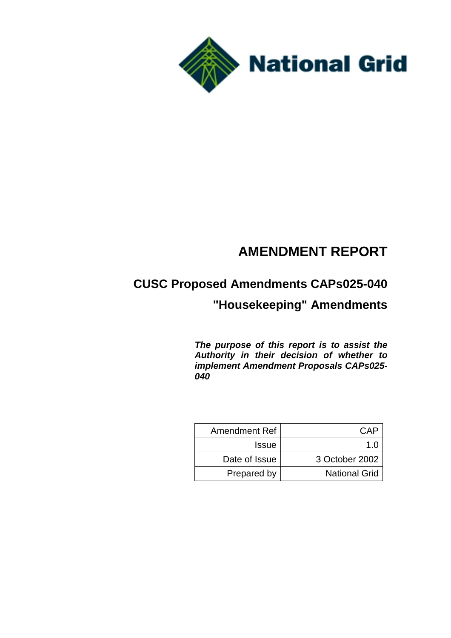

# **AMENDMENT REPORT**

# **CUSC Proposed Amendments CAPs025-040**

# **"Housekeeping" Amendments**

*The purpose of this report is to assist the Authority in their decision of whether to implement Amendment Proposals CAPs025- 040*

| Amendment Ref | CAP                  |
|---------------|----------------------|
| <b>Issue</b>  | 1 N                  |
| Date of Issue | 3 October 2002       |
| Prepared by   | <b>National Grid</b> |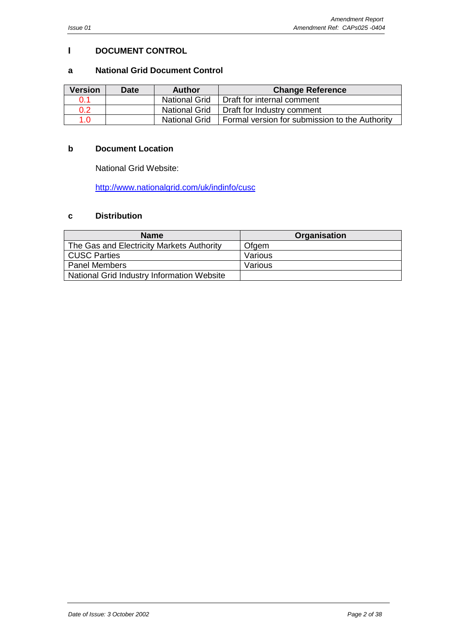#### <span id="page-1-0"></span>**I DOCUMENT CONTROL**

#### **a National Grid Document Control**

| <b>Version</b> | <b>Date</b> | <b>Author</b>        | <b>Change Reference</b>                        |
|----------------|-------------|----------------------|------------------------------------------------|
| 0.1            |             | <b>National Grid</b> | Draft for internal comment                     |
| 0.2            |             | <b>National Grid</b> | Draft for Industry comment                     |
| 1 በ            |             | <b>National Grid</b> | Formal version for submission to the Authority |

#### **b Document Location**

National Grid Website:

http://www.nationalgrid.com/uk/indinfo/cusc

#### **c [Distribution](http://www.nationalgrid.com/uk/indinfo/cusc)**

| <b>Name</b>                                | Organisation |
|--------------------------------------------|--------------|
| The Gas and Electricity Markets Authority  | Ofgem        |
| <b>CUSC Parties</b>                        | Various      |
| <b>Panel Members</b>                       | Various      |
| National Grid Industry Information Website |              |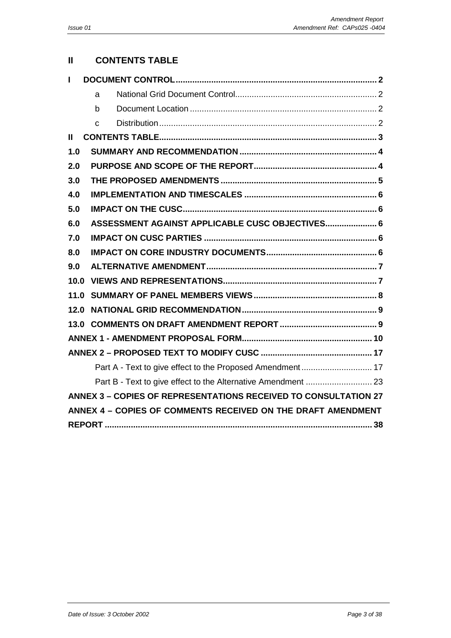#### **II CONTENTS TABLE**

| L             |                                                                        |
|---------------|------------------------------------------------------------------------|
|               | a                                                                      |
|               | h                                                                      |
|               | C                                                                      |
| $\mathbf{II}$ |                                                                        |
| 1.0           |                                                                        |
| 2.0           |                                                                        |
| 3.0           |                                                                        |
| 4.0           |                                                                        |
| 5.0           |                                                                        |
| 6.0           | ASSESSMENT AGAINST APPLICABLE CUSC OBJECTIVES 6                        |
| 7.0           |                                                                        |
| 8.0           |                                                                        |
| 9.0           |                                                                        |
| 10.0          |                                                                        |
| 11.0          |                                                                        |
| 12.0          |                                                                        |
|               |                                                                        |
|               |                                                                        |
|               |                                                                        |
|               |                                                                        |
|               |                                                                        |
|               | <b>ANNEX 3 - COPIES OF REPRESENTATIONS RECEIVED TO CONSULTATION 27</b> |
|               | ANNEX 4 - COPIES OF COMMENTS RECEIVED ON THE DRAFT AMENDMENT           |
|               |                                                                        |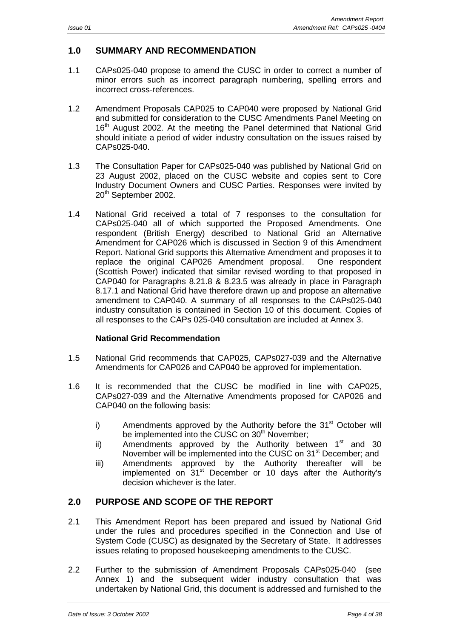#### <span id="page-3-0"></span>**1.0 SUMMARY AND RECOMMENDATION**

- 1.1 CAPs025-040 propose to amend the CUSC in order to correct a number of minor errors such as incorrect paragraph numbering, spelling errors and incorrect cross-references.
- 1.2 Amendment Proposals CAP025 to CAP040 were proposed by National Grid and submitted for consideration to the CUSC Amendments Panel Meeting on 16<sup>th</sup> August 2002. At the meeting the Panel determined that National Grid should initiate a period of wider industry consultation on the issues raised by CAPs025-040.
- 1.3 The Consultation Paper for CAPs025-040 was published by National Grid on 23 August 2002, placed on the CUSC website and copies sent to Core Industry Document Owners and CUSC Parties. Responses were invited by 20<sup>th</sup> September 2002.
- 1.4 National Grid received a total of 7 responses to the consultation for CAPs025-040 all of which supported the Proposed Amendments. One respondent (British Energy) described to National Grid an Alternative Amendment for CAP026 which is discussed in Section 9 of this Amendment Report. National Grid supports this Alternative Amendment and proposes it to replace the original CAP026 Amendment proposal. One respondent (Scottish Power) indicated that similar revised wording to that proposed in CAP040 for Paragraphs 8.21.8 & 8.23.5 was already in place in Paragraph 8.17.1 and National Grid have therefore drawn up and propose an alternative amendment to CAP040. A summary of all responses to the CAPs025-040 industry consultation is contained in Section 10 of this document. Copies of all responses to the CAPs 025-040 consultation are included at Annex 3.

#### **National Grid Recommendation**

- 1.5 National Grid recommends that CAP025, CAPs027-039 and the Alternative Amendments for CAP026 and CAP040 be approved for implementation.
- 1.6 It is recommended that the CUSC be modified in line with CAP025, CAPs027-039 and the Alternative Amendments proposed for CAP026 and CAP040 on the following basis:
	- i) Amendments approved by the Authority before the  $31<sup>st</sup>$  October will be implemented into the CUSC on 30<sup>th</sup> November;
	- ii) Amendments approved by the Authority between  $1<sup>st</sup>$  and 30 November will be implemented into the CUSC on 31<sup>st</sup> December; and
	- iii) Amendments approved by the Authority thereafter will be implemented on 31<sup>st</sup> December or 10 days after the Authority's decision whichever is the later.

#### **2.0 PURPOSE AND SCOPE OF THE REPORT**

- 2.1 This Amendment Report has been prepared and issued by National Grid under the rules and procedures specified in the Connection and Use of System Code (CUSC) as designated by the Secretary of State. It addresses issues relating to proposed housekeeping amendments to the CUSC.
- 2.2 Further to the submission of Amendment Proposals CAPs025-040 (see Annex 1) and the subsequent wider industry consultation that was undertaken by National Grid, this document is addressed and furnished to the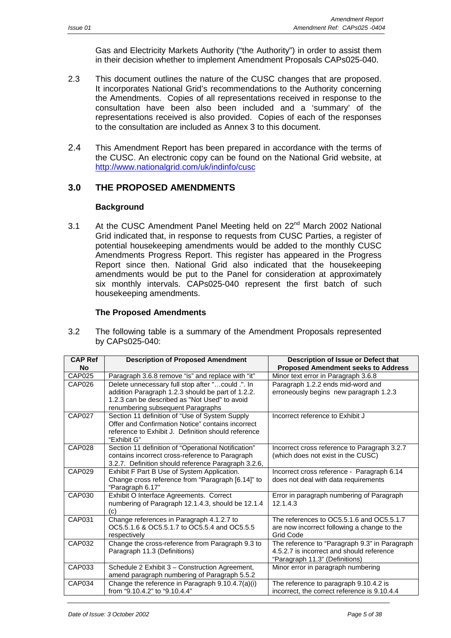Gas and Electricity Markets Authority ("the Authority") in order to assist them in their decision whether to implement Amendment Proposals CAPs025-040.

- <span id="page-4-0"></span>2.3 This document outlines the nature of the CUSC changes that are proposed. It incorporates National Grid's recommendations to the Authority concerning the Amendments. Copies of all representations received in response to the consultation have been also been included and a 'summary' of the representations received is also provided. Copies of each of the responses to the consultation are included as Annex 3 to this document.
- 2.4 This Amendment Report has been prepared in accordance with the terms of the CUSC. An electronic copy can be found on the National Grid website, at http://www.nationalgrid.com/uk/indinfo/cusc

#### **3.0 THE PROPOSED AMENDMENTS**

#### **[Background](http://www.nationalgrid.com/uk/indinfo/cusc)**

3.1 At the CUSC Amendment Panel Meeting held on 22<sup>nd</sup> March 2002 National Grid indicated that, in response to requests from CUSC Parties, a register of potential housekeeping amendments would be added to the monthly CUSC Amendments Progress Report. This register has appeared in the Progress Report since then. National Grid also indicated that the housekeeping amendments would be put to the Panel for consideration at approximately six monthly intervals. CAPs025-040 represent the first batch of such housekeeping amendments.

#### **The Proposed Amendments**

3.2 The following table is a summary of the Amendment Proposals represented by CAPs025-040:

| <b>CAP Ref</b>     | <b>Description of Proposed Amendment</b>            | Description of Issue or Defect that           |  |  |  |
|--------------------|-----------------------------------------------------|-----------------------------------------------|--|--|--|
| No                 |                                                     | <b>Proposed Amendment seeks to Address</b>    |  |  |  |
| CAP025             | Paragraph 3.6.8 remove "is" and replace with "it"   | Minor text error in Paragraph 3.6.8           |  |  |  |
| CAP <sub>026</sub> | Delete unnecessary full stop after "could .". In    | Paragraph 1.2.2 ends mid-word and             |  |  |  |
|                    | addition Paragraph 1.2.3 should be part of 1.2.2.   | erroneously begins new paragraph 1.2.3        |  |  |  |
|                    | 1.2.3 can be described as "Not Used" to avoid       |                                               |  |  |  |
|                    | renumbering subsequent Paragraphs                   |                                               |  |  |  |
| <b>CAP027</b>      | Section 11 definition of "Use of System Supply      | Incorrect reference to Exhibit J              |  |  |  |
|                    | Offer and Confirmation Notice" contains incorrect   |                                               |  |  |  |
|                    | reference to Exhibit J. Definition should reference |                                               |  |  |  |
|                    | "Exhibit G"                                         |                                               |  |  |  |
| <b>CAP028</b>      | Section 11 definition of "Operational Notification" | Incorrect cross reference to Paragraph 3.2.7  |  |  |  |
|                    | contains incorrect cross-reference to Paragraph     | (which does not exist in the CUSC)            |  |  |  |
|                    | 3.2.7. Definition should reference Paragraph 3.2.6, |                                               |  |  |  |
| CAP029             | Exhibit F Part B Use of System Application.         | Incorrect cross reference - Paragraph 6.14    |  |  |  |
|                    | Change cross reference from "Paragraph [6.14]" to   | does not deal with data requirements          |  |  |  |
|                    | "Paragraph 6.17"                                    |                                               |  |  |  |
| CAP030             | Exhibit O Interface Agreements. Correct             | Error in paragraph numbering of Paragraph     |  |  |  |
|                    | numbering of Paragraph 12.1.4.3, should be 12.1.4   | 12.1.4.3                                      |  |  |  |
|                    | (c)                                                 |                                               |  |  |  |
| CAP031             | Change references in Paragraph 4.1.2.7 to           | The references to OC5.5.1.6 and OC5.5.1.7     |  |  |  |
|                    | OC5.5.1.6 & OC5.5.1.7 to OC5.5.4 and OC5.5.5        | are now incorrect following a change to the   |  |  |  |
|                    | respectively                                        | Grid Code                                     |  |  |  |
| CAP032             | Change the cross-reference from Paragraph 9.3 to    | The reference to "Paragraph 9.3" in Paragraph |  |  |  |
|                    | Paragraph 11.3 (Definitions)                        | 4.5.2.7 is incorrect and should reference     |  |  |  |
|                    |                                                     | "Paragraph 11.3" (Definitions)                |  |  |  |
| CAP033             | Schedule 2 Exhibit 3 - Construction Agreement,      | Minor error in paragraph numbering            |  |  |  |
|                    | amend paragraph numbering of Paragraph 5.5.2        |                                               |  |  |  |
| <b>CAP034</b>      | Change the reference in Paragraph 9.10.4.7(a)(i)    | The reference to paragraph 9.10.4.2 is        |  |  |  |
|                    | from "9.10.4.2" to "9.10.4.4"                       | incorrect, the correct reference is 9.10.4.4  |  |  |  |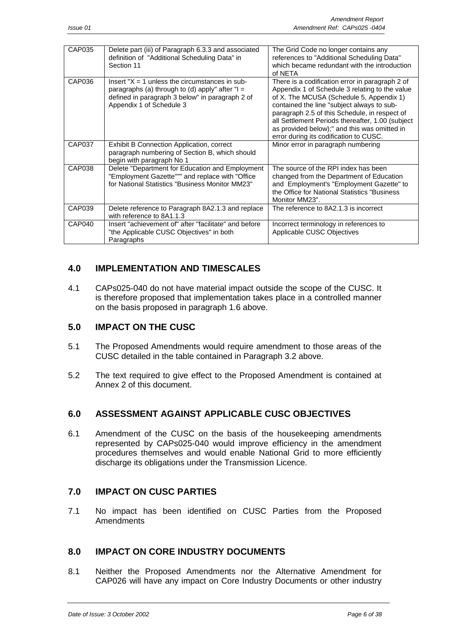<span id="page-5-0"></span>

| CAP035 | Delete part (iii) of Paragraph 6.3.3 and associated   | The Grid Code no longer contains any             |
|--------|-------------------------------------------------------|--------------------------------------------------|
|        | definition of "Additional Scheduling Data" in         | references to "Additional Scheduling Data"       |
|        | Section 11                                            | which became redundant with the introduction     |
|        |                                                       | of NETA                                          |
| CAP036 | Insert " $X = 1$ unless the circumstances in sub-     | There is a codification error in paragraph 2 of  |
|        | paragraphs (a) through to (d) apply" after " $I =$    | Appendix 1 of Schedule 3 relating to the value   |
|        | defined in paragraph 3 below" in paragraph 2 of       | of X. The MCUSA (Schedule 5, Appendix 1)         |
|        | Appendix 1 of Schedule 3                              | contained the line "subject always to sub-       |
|        |                                                       | paragraph 2.5 of this Schedule, in respect of    |
|        |                                                       | all Settlement Periods thereafter, 1.00 (subject |
|        |                                                       | as provided below);" and this was omitted in     |
|        |                                                       | error during its codification to CUSC.           |
| CAP037 | Exhibit B Connection Application, correct             | Minor error in paragraph numbering               |
|        | paragraph numbering of Section B, which should        |                                                  |
|        | begin with paragraph No 1                             |                                                  |
| CAP038 | Delete "Department for Education and Employment       | The source of the RPI index has been             |
|        | "Employment Gazette""" and replace with "Office       | changed from the Department of Education         |
|        | for National Statistics "Business Monitor MM23"       | and Employment's "Employment Gazette" to         |
|        |                                                       | the Office for National Statistics "Business"    |
|        |                                                       | Monitor MM23".                                   |
|        |                                                       |                                                  |
| CAP039 | Delete reference to Paragraph 8A2.1.3 and replace     | The reference to 8A2.1.3 is incorrect            |
|        | with reference to 8A1.1.3                             |                                                  |
| CAP040 | Insert "achievement of" after "facilitate" and before | Incorrect terminology in references to           |
|        | "the Applicable CUSC Objectives" in both              | Applicable CUSC Objectives                       |
|        | Paragraphs                                            |                                                  |

#### **4.0 IMPLEMENTATION AND TIMESCALES**

4.1 CAPs025-040 do not have material impact outside the scope of the CUSC. It is therefore proposed that implementation takes place in a controlled manner on the basis proposed in paragraph 1.6 above.

#### **5.0 IMPACT ON THE CUSC**

- 5.1 The Proposed Amendments would require amendment to those areas of the CUSC detailed in the table contained in Paragraph 3.2 above.
- 5.2 The text required to give effect to the Proposed Amendment is contained at Annex 2 of this document.

#### **6.0 ASSESSMENT AGAINST APPLICABLE CUSC OBJECTIVES**

6.1 Amendment of the CUSC on the basis of the housekeeping amendments represented by CAPs025-040 would improve efficiency in the amendment procedures themselves and would enable National Grid to more efficiently discharge its obligations under the Transmission Licence.

#### **7.0 IMPACT ON CUSC PARTIES**

7.1 No impact has been identified on CUSC Parties from the Proposed Amendments

#### **8.0 IMPACT ON CORE INDUSTRY DOCUMENTS**

8.1 Neither the Proposed Amendments nor the Alternative Amendment for CAP026 will have any impact on Core Industry Documents or other industry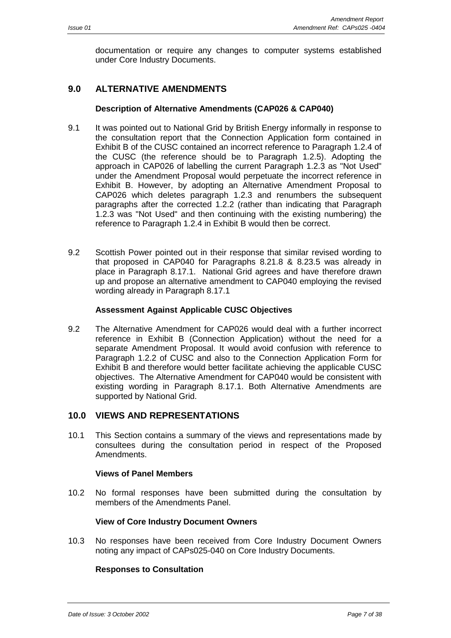<span id="page-6-0"></span>documentation or require any changes to computer systems established under Core Industry Documents.

#### **9.0 ALTERNATIVE AMENDMENTS**

#### **Description of Alternative Amendments (CAP026 & CAP040)**

- 9.1 It was pointed out to National Grid by British Energy informally in response to the consultation report that the Connection Application form contained in Exhibit B of the CUSC contained an incorrect reference to Paragraph 1.2.4 of the CUSC (the reference should be to Paragraph 1.2.5). Adopting the approach in CAP026 of labelling the current Paragraph 1.2.3 as "Not Used" under the Amendment Proposal would perpetuate the incorrect reference in Exhibit B. However, by adopting an Alternative Amendment Proposal to CAP026 which deletes paragraph 1.2.3 and renumbers the subsequent paragraphs after the corrected 1.2.2 (rather than indicating that Paragraph 1.2.3 was "Not Used" and then continuing with the existing numbering) the reference to Paragraph 1.2.4 in Exhibit B would then be correct.
- 9.2 Scottish Power pointed out in their response that similar revised wording to that proposed in CAP040 for Paragraphs 8.21.8 & 8.23.5 was already in place in Paragraph 8.17.1. National Grid agrees and have therefore drawn up and propose an alternative amendment to CAP040 employing the revised wording already in Paragraph 8.17.1

#### **Assessment Against Applicable CUSC Objectives**

9.2 The Alternative Amendment for CAP026 would deal with a further incorrect reference in Exhibit B (Connection Application) without the need for a separate Amendment Proposal. It would avoid confusion with reference to Paragraph 1.2.2 of CUSC and also to the Connection Application Form for Exhibit B and therefore would better facilitate achieving the applicable CUSC objectives. The Alternative Amendment for CAP040 would be consistent with existing wording in Paragraph 8.17.1. Both Alternative Amendments are supported by National Grid.

#### **10.0 VIEWS AND REPRESENTATIONS**

10.1 This Section contains a summary of the views and representations made by consultees during the consultation period in respect of the Proposed Amendments.

#### **Views of Panel Members**

10.2 No formal responses have been submitted during the consultation by members of the Amendments Panel.

#### **View of Core Industry Document Owners**

10.3 No responses have been received from Core Industry Document Owners noting any impact of CAPs025-040 on Core Industry Documents.

#### **Responses to Consultation**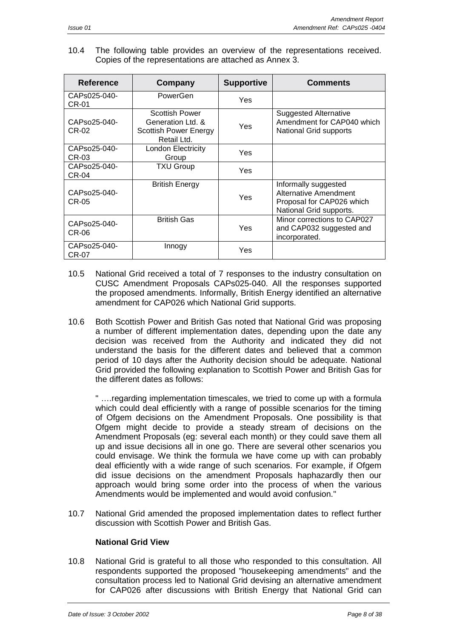10.4 The following table provides an overview of the representations received. Copies of the representations are attached as Annex 3.

| Reference             | Company                                                                                   | <b>Supportive</b> | <b>Comments</b>                                                                                       |
|-----------------------|-------------------------------------------------------------------------------------------|-------------------|-------------------------------------------------------------------------------------------------------|
| CAPs025-040-<br>CR-01 | PowerGen                                                                                  | Yes               |                                                                                                       |
| CAPso25-040-<br>CR-02 | <b>Scottish Power</b><br>Generation Ltd. &<br><b>Scottish Power Energy</b><br>Retail Ltd. | Yes               | <b>Suggested Alternative</b><br>Amendment for CAP040 which<br>National Grid supports                  |
| CAPso25-040-<br>CR-03 | <b>London Electricity</b><br>Group                                                        | Yes               |                                                                                                       |
| CAPso25-040-<br>CR-04 | <b>TXU Group</b>                                                                          | Yes               |                                                                                                       |
| CAPso25-040-<br>CR-05 | <b>British Energy</b>                                                                     |                   | Informally suggested<br>Alternative Amendment<br>Proposal for CAP026 which<br>National Grid supports. |
| CAPso25-040-<br>CR-06 | <b>British Gas</b>                                                                        | Yes               | Minor corrections to CAP027<br>and CAP032 suggested and<br>incorporated.                              |
| CAPso25-040-<br>CR-07 | Innogy                                                                                    | <b>Yes</b>        |                                                                                                       |

- 10.5 National Grid received a total of 7 responses to the industry consultation on CUSC Amendment Proposals CAPs025-040. All the responses supported the proposed amendments. Informally, British Energy identified an alternative amendment for CAP026 which National Grid supports.
- 10.6 Both Scottish Power and British Gas noted that National Grid was proposing a number of different implementation dates, depending upon the date any decision was received from the Authority and indicated they did not understand the basis for the different dates and believed that a common period of 10 days after the Authority decision should be adequate. National Grid provided the following explanation to Scottish Power and British Gas for the different dates as follows:

" ….regarding implementation timescales, we tried to come up with a formula which could deal efficiently with a range of possible scenarios for the timing of Ofgem decisions on the Amendment Proposals. One possibility is that Ofgem might decide to provide a steady stream of decisions on the Amendment Proposals (eg: several each month) or they could save them all up and issue decisions all in one go. There are several other scenarios you could envisage. We think the formula we have come up with can probably deal efficiently with a wide range of such scenarios. For example, if Ofgem did issue decisions on the amendment Proposals haphazardly then our approach would bring some order into the process of when the various Amendments would be implemented and would avoid confusion."

10.7 National Grid amended the proposed implementation dates to reflect further discussion with Scottish Power and British Gas.

#### **National Grid View**

10.8 National Grid is grateful to all those who responded to this consultation. All respondents supported the proposed "housekeeping amendments" and the consultation process led to National Grid devising an alternative amendment for CAP026 after discussions with British Energy that National Grid can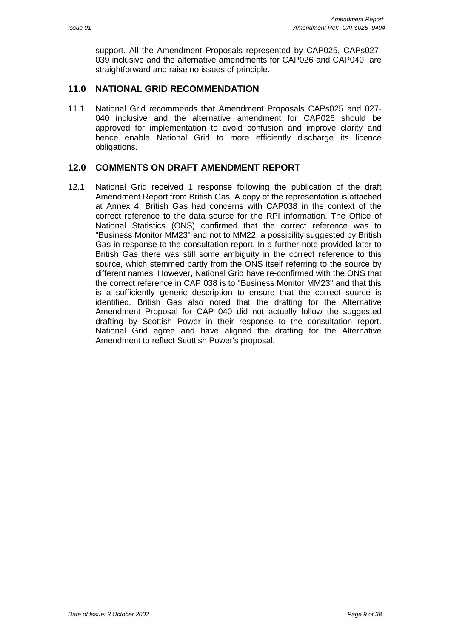<span id="page-8-0"></span>support. All the Amendment Proposals represented by CAP025, CAPs027- 039 inclusive and the alternative amendments for CAP026 and CAP040 are straightforward and raise no issues of principle.

#### **11.0 NATIONAL GRID RECOMMENDATION**

11.1 National Grid recommends that Amendment Proposals CAPs025 and 027- 040 inclusive and the alternative amendment for CAP026 should be approved for implementation to avoid confusion and improve clarity and hence enable National Grid to more efficiently discharge its licence obligations.

#### **12.0 COMMENTS ON DRAFT AMENDMENT REPORT**

12.1 National Grid received 1 response following the publication of the draft Amendment Report from British Gas. A copy of the representation is attached at Annex 4. British Gas had concerns with CAP038 in the context of the correct reference to the data source for the RPI information. The Office of National Statistics (ONS) confirmed that the correct reference was to "Business Monitor MM23" and not to MM22, a possibility suggested by British Gas in response to the consultation report. In a further note provided later to British Gas there was still some ambiguity in the correct reference to this source, which stemmed partly from the ONS itself referring to the source by different names. However, National Grid have re-confirmed with the ONS that the correct reference in CAP 038 is to "Business Monitor MM23" and that this is a sufficiently generic description to ensure that the correct source is identified. British Gas also noted that the drafting for the Alternative Amendment Proposal for CAP 040 did not actually follow the suggested drafting by Scottish Power in their response to the consultation report. National Grid agree and have aligned the drafting for the Alternative Amendment to reflect Scottish Power's proposal.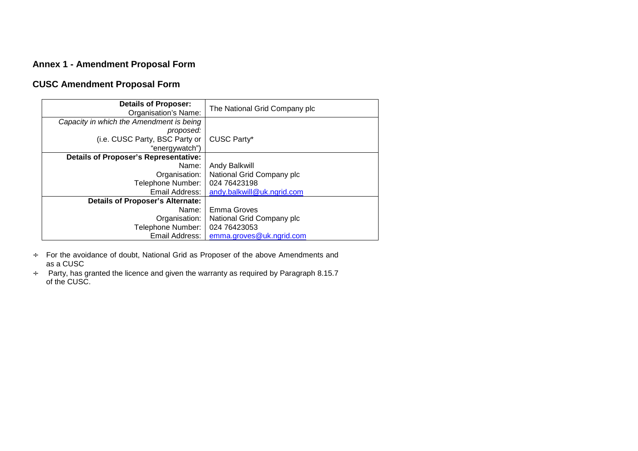### <span id="page-9-0"></span>**Annex 1 - Amendment Proposal Form**

### **CUSC Amendment Proposal Form**

| <b>Details of Proposer:</b><br>Organisation's Name: | The National Grid Company plc |
|-----------------------------------------------------|-------------------------------|
| Capacity in which the Amendment is being            |                               |
| proposed:                                           |                               |
| (i.e. CUSC Party, BSC Party or                      | <b>CUSC Party*</b>            |
| "energywatch")                                      |                               |
| <b>Details of Proposer's Representative:</b>        |                               |
| Name:                                               | Andy Balkwill                 |
| Organisation:                                       | National Grid Company plc     |
| Telephone Number:                                   | 024 76423198                  |
| Email Address: I                                    | andy.balkwill@uk.ngrid.com    |
| <b>Details of Proposer's Alternate:</b>             |                               |
| Name:                                               | Emma Groves                   |
| Organisation:                                       | National Grid Company plc     |
| Telephone Number:                                   | 024 76423053                  |
| Email Address:                                      | emma.groves@uk.ngrid.com      |

- <sup>÷</sup> For the avoidance of doubt, National Grid as Proposer of the above Amendments a[nd](mailto:andy.balkwill@uk.ngrid.com) as a CUSC
- <sup>÷</sup> Party, has granted the licence and given the warranty as required by Paragraph 8.15.7 of the CUSC.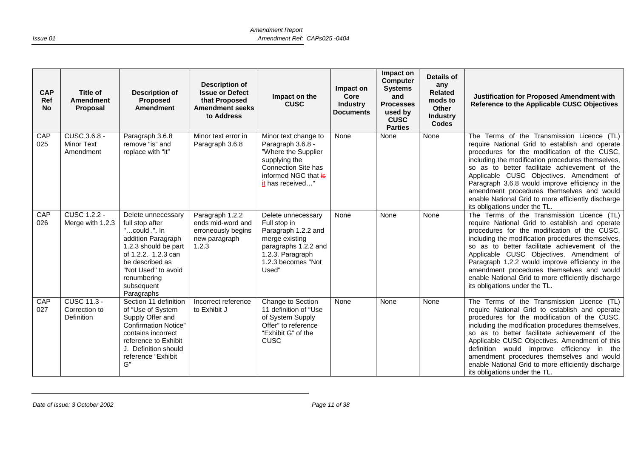| <b>CAP</b><br>Ref<br><b>No</b> | <b>Title of</b><br><b>Amendment</b><br>Proposal          | <b>Description of</b><br><b>Proposed</b><br><b>Amendment</b>                                                                                                                                                     | <b>Description of</b><br><b>Issue or Defect</b><br>that Proposed<br><b>Amendment seeks</b><br>to Address | Impact on the<br><b>CUSC</b>                                                                                                                           | Impact on<br>Core<br><b>Industry</b><br><b>Documents</b> | Impact on<br><b>Computer</b><br><b>Systems</b><br>and<br><b>Processes</b><br>used by<br><b>CUSC</b><br><b>Parties</b> | Details of<br>any<br><b>Related</b><br>mods to<br>Other<br><b>Industry</b><br><b>Codes</b> | Justification for Proposed Amendment with<br>Reference to the Applicable CUSC Objectives                                                                                                                                                                                                                                                                                                                                                                                              |
|--------------------------------|----------------------------------------------------------|------------------------------------------------------------------------------------------------------------------------------------------------------------------------------------------------------------------|----------------------------------------------------------------------------------------------------------|--------------------------------------------------------------------------------------------------------------------------------------------------------|----------------------------------------------------------|-----------------------------------------------------------------------------------------------------------------------|--------------------------------------------------------------------------------------------|---------------------------------------------------------------------------------------------------------------------------------------------------------------------------------------------------------------------------------------------------------------------------------------------------------------------------------------------------------------------------------------------------------------------------------------------------------------------------------------|
| CAP<br>025                     | CUSC 3.6.8 -<br><b>Minor Text</b><br>Amendment           | Paragraph 3.6.8<br>remove "is" and<br>replace with "it"                                                                                                                                                          | Minor text error in<br>Paragraph 3.6.8                                                                   | Minor text change to<br>Paragraph 3.6.8 -<br>"Where the Supplier<br>supplying the<br>Connection Site has<br>informed NGC that is<br>it has received"   | None                                                     | None                                                                                                                  | None                                                                                       | The Terms of the Transmission Licence (TL)<br>require National Grid to establish and operate<br>procedures for the modification of the CUSC,<br>including the modification procedures themselves,<br>so as to better facilitate achievement of the<br>Applicable CUSC Objectives. Amendment of<br>Paragraph 3.6.8 would improve efficiency in the<br>amendment procedures themselves and would<br>enable National Grid to more efficiently discharge<br>its obligations under the TL. |
| CAP<br>026                     | <b>CUSC 1.2.2 -</b><br>Merge with 1.2.3                  | Delete unnecessary<br>full stop after<br>"could .". In<br>addition Paragraph<br>1.2.3 should be part<br>of 1.2.2. 1.2.3 can<br>be described as<br>"Not Used" to avoid<br>renumbering<br>subsequent<br>Paragraphs | Paragraph 1.2.2<br>ends mid-word and<br>erroneously begins<br>new paragraph<br>1.2.3                     | Delete unnecessary<br>Full stop in<br>Paragraph 1.2.2 and<br>merge existing<br>paragraphs 1.2.2 and<br>1.2.3. Paragraph<br>1.2.3 becomes "Not<br>Used" | None                                                     | None                                                                                                                  | None                                                                                       | The Terms of the Transmission Licence (TL)<br>require National Grid to establish and operate<br>procedures for the modification of the CUSC,<br>including the modification procedures themselves,<br>so as to better facilitate achievement of the<br>Applicable CUSC Objectives. Amendment of<br>Paragraph 1.2.2 would improve efficiency in the<br>amendment procedures themselves and would<br>enable National Grid to more efficiently discharge<br>its obligations under the TL. |
| CAP<br>027                     | <b>CUSC 11.3 -</b><br>Correction to<br><b>Definition</b> | Section 11 definition<br>of "Use of System<br>Supply Offer and<br><b>Confirmation Notice"</b><br>contains incorrect<br>reference to Exhibit<br>J. Definition should<br>reference "Exhibit<br>G"                  | Incorrect reference<br>to Exhibit J                                                                      | Change to Section<br>11 definition of "Use<br>of System Supply<br>Offer" to reference<br>"Exhibit G" of the<br>CUSC                                    | None                                                     | None                                                                                                                  | None                                                                                       | The Terms of the Transmission Licence (TL)<br>require National Grid to establish and operate<br>procedures for the modification of the CUSC,<br>including the modification procedures themselves,<br>so as to better facilitate achievement of the<br>Applicable CUSC Objectives. Amendment of this<br>definition would improve efficiency in the<br>amendment procedures themselves and would<br>enable National Grid to more efficiently discharge<br>its obligations under the TL. |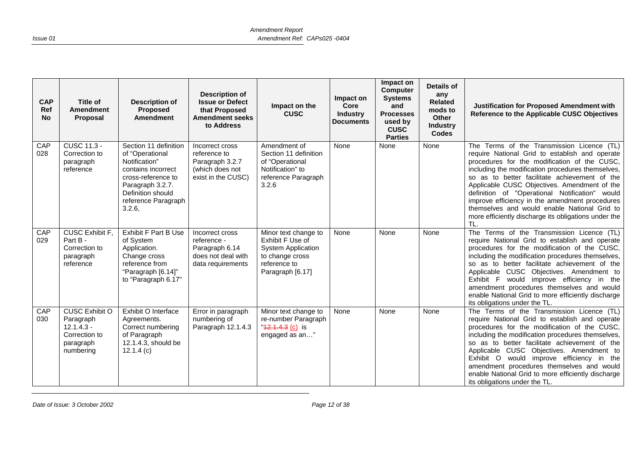| <b>CAP</b><br>Ref<br><b>No</b> | Title of<br><b>Amendment</b><br>Proposal                                                      | <b>Description of</b><br>Proposed<br><b>Amendment</b>                                                                                                                           | <b>Description of</b><br><b>Issue or Defect</b><br>that Proposed<br><b>Amendment seeks</b><br>to Address | Impact on the<br><b>CUSC</b>                                                                                                 | Impact on<br>Core<br><b>Industry</b><br><b>Documents</b> | Impact on<br><b>Computer</b><br><b>Systems</b><br>and<br><b>Processes</b><br>used by<br><b>CUSC</b><br><b>Parties</b> | Details of<br>any<br><b>Related</b><br>mods to<br>Other<br><b>Industry</b><br><b>Codes</b> | Justification for Proposed Amendment with<br>Reference to the Applicable CUSC Objectives                                                                                                                                                                                                                                                                                                                                                                                                                                 |
|--------------------------------|-----------------------------------------------------------------------------------------------|---------------------------------------------------------------------------------------------------------------------------------------------------------------------------------|----------------------------------------------------------------------------------------------------------|------------------------------------------------------------------------------------------------------------------------------|----------------------------------------------------------|-----------------------------------------------------------------------------------------------------------------------|--------------------------------------------------------------------------------------------|--------------------------------------------------------------------------------------------------------------------------------------------------------------------------------------------------------------------------------------------------------------------------------------------------------------------------------------------------------------------------------------------------------------------------------------------------------------------------------------------------------------------------|
| CAP<br>028                     | <b>CUSC 11.3 -</b><br>Correction to<br>paragraph<br>reference                                 | Section 11 definition<br>of "Operational<br>Notification"<br>contains incorrect<br>cross-reference to<br>Paragraph 3.2.7.<br>Definition should<br>reference Paragraph<br>3.2.6, | Incorrect cross<br>reference to<br>Paragraph 3.2.7<br>(which does not<br>exist in the CUSC)              | Amendment of<br>Section 11 definition<br>of "Operational<br>Notification" to<br>reference Paragraph<br>3.2.6                 | None                                                     | None                                                                                                                  | None                                                                                       | The Terms of the Transmission Licence (TL)<br>require National Grid to establish and operate<br>procedures for the modification of the CUSC,<br>including the modification procedures themselves,<br>so as to better facilitate achievement of the<br>Applicable CUSC Objectives. Amendment of the<br>definition of "Operational Notification"<br>would<br>improve efficiency in the amendment procedures<br>themselves and would enable National Grid to<br>more efficiently discharge its obligations under the<br>TL. |
| CAP<br>029                     | <b>CUSC Exhibit F.</b><br>Part B -<br>Correction to<br>paragraph<br>reference                 | <b>Exhibit F Part B Use</b><br>of System<br>Application.<br>Change cross<br>reference from<br>"Paragraph [6.14]"<br>to "Paragraph 6.17"                                         | Incorrect cross<br>reference -<br>Paragraph 6.14<br>does not deal with<br>data requirements              | Minor text change to<br>Exhibit F Use of<br><b>System Application</b><br>to change cross<br>reference to<br>Paragraph [6.17] | None                                                     | None                                                                                                                  | None                                                                                       | The Terms of the Transmission Licence (TL)<br>require National Grid to establish and operate<br>procedures for the modification of the CUSC,<br>including the modification procedures themselves,<br>so as to better facilitate achievement of the<br>Applicable CUSC Objectives. Amendment to<br>Exhibit F would improve efficiency in the<br>amendment procedures themselves and would<br>enable National Grid to more efficiently discharge<br>its obligations under the TL.                                          |
| CAP<br>030                     | <b>CUSC Exhibit O</b><br>Paragraph<br>$12.1.4.3 -$<br>Correction to<br>paragraph<br>numbering | Exhibit O Interface<br>Agreements.<br>Correct numbering<br>of Paragraph<br>12.1.4.3, should be<br>12.1.4(c)                                                                     | Error in paragraph<br>numbering of<br>Paragraph 12.1.4.3                                                 | Minor text change to<br>re-number Paragraph<br>$42.4.4.3$ (c) is<br>engaged as an"                                           | None                                                     | None                                                                                                                  | None                                                                                       | The Terms of the Transmission Licence (TL)<br>require National Grid to establish and operate<br>procedures for the modification of the CUSC,<br>including the modification procedures themselves,<br>so as to better facilitate achievement of the<br>Applicable CUSC Objectives. Amendment to<br>Exhibit O would improve efficiency in the<br>amendment procedures themselves and would<br>enable National Grid to more efficiently discharge<br>its obligations under the TL.                                          |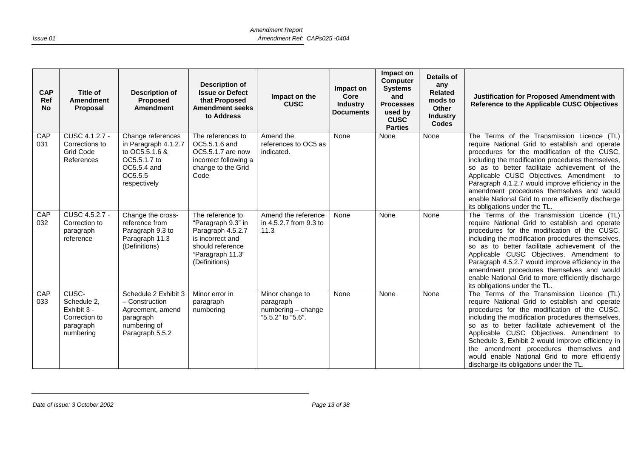| <b>CAP</b><br>Ref<br><b>No</b> | Title of<br><b>Amendment</b><br>Proposal                                       | <b>Description of</b><br><b>Proposed</b><br><b>Amendment</b>                                                          | <b>Description of</b><br><b>Issue or Defect</b><br>that Proposed<br><b>Amendment seeks</b><br>to Address                                 | Impact on the<br><b>CUSC</b>                                            | Impact on<br>Core<br><b>Industry</b><br><b>Documents</b> | Impact on<br><b>Computer</b><br><b>Systems</b><br>and<br><b>Processes</b><br>used by<br><b>CUSC</b><br><b>Parties</b> | <b>Details of</b><br>any<br><b>Related</b><br>mods to<br>Other<br><b>Industry</b><br><b>Codes</b> | Justification for Proposed Amendment with<br>Reference to the Applicable CUSC Objectives                                                                                                                                                                                                                                                                                                                                                                                                    |
|--------------------------------|--------------------------------------------------------------------------------|-----------------------------------------------------------------------------------------------------------------------|------------------------------------------------------------------------------------------------------------------------------------------|-------------------------------------------------------------------------|----------------------------------------------------------|-----------------------------------------------------------------------------------------------------------------------|---------------------------------------------------------------------------------------------------|---------------------------------------------------------------------------------------------------------------------------------------------------------------------------------------------------------------------------------------------------------------------------------------------------------------------------------------------------------------------------------------------------------------------------------------------------------------------------------------------|
| CAP<br>031                     | CUSC 4.1.2.7 -<br>Corrections to<br><b>Grid Code</b><br>References             | Change references<br>in Paragraph 4.1.2.7<br>to OC5.5.1.6 &<br>OC5.5.1.7 to<br>OC5.5.4 and<br>OC5.5.5<br>respectively | The references to<br>OC5.5.1.6 and<br>OC5.5.1.7 are now<br>incorrect following a<br>change to the Grid<br>Code                           | Amend the<br>references to OC5 as<br>indicated.                         | None                                                     | None                                                                                                                  | None                                                                                              | The Terms of the Transmission Licence (TL)<br>require National Grid to establish and operate<br>procedures for the modification of the CUSC,<br>including the modification procedures themselves,<br>so as to better facilitate achievement of the<br>Applicable CUSC Objectives. Amendment to<br>Paragraph 4.1.2.7 would improve efficiency in the<br>amendment procedures themselves and would<br>enable National Grid to more efficiently discharge<br>its obligations under the TL.     |
| CAP<br>032                     | CUSC 4.5.2.7 -<br>Correction to<br>paragraph<br>reference                      | Change the cross-<br>reference from<br>Paragraph 9.3 to<br>Paragraph 11.3<br>(Definitions)                            | The reference to<br>"Paragraph 9.3" in<br>Paragraph 4.5.2.7<br>is incorrect and<br>should reference<br>"Paragraph 11.3"<br>(Definitions) | Amend the reference<br>in 4.5.2.7 from 9.3 to<br>11.3                   | None                                                     | None                                                                                                                  | None                                                                                              | The Terms of the Transmission Licence (TL)<br>require National Grid to establish and operate<br>procedures for the modification of the CUSC,<br>including the modification procedures themselves,<br>so as to better facilitate achievement of the<br>Applicable CUSC Objectives. Amendment to<br>Paragraph 4.5.2.7 would improve efficiency in the<br>amendment procedures themselves and would<br>enable National Grid to more efficiently discharge<br>its obligations under the TL.     |
| CAP<br>033                     | CUSC-<br>Schedule 2,<br>Exhibit 3 -<br>Correction to<br>paragraph<br>numbering | Schedule 2 Exhibit 3<br>- Construction<br>Agreement, amend<br>paragraph<br>numbering of<br>Paragraph 5.5.2            | Minor error in<br>paragraph<br>numbering                                                                                                 | Minor change to<br>paragraph<br>numbering - change<br>"5.5.2" to "5.6". | None                                                     | None                                                                                                                  | None                                                                                              | The Terms of the Transmission Licence (TL)<br>require National Grid to establish and operate<br>procedures for the modification of the CUSC,<br>including the modification procedures themselves,<br>so as to better facilitate achievement of the<br>Applicable CUSC Objectives. Amendment to<br>Schedule 3, Exhibit 2 would improve efficiency in<br>the amendment procedures themselves and<br>would enable National Grid to more efficiently<br>discharge its obligations under the TL. |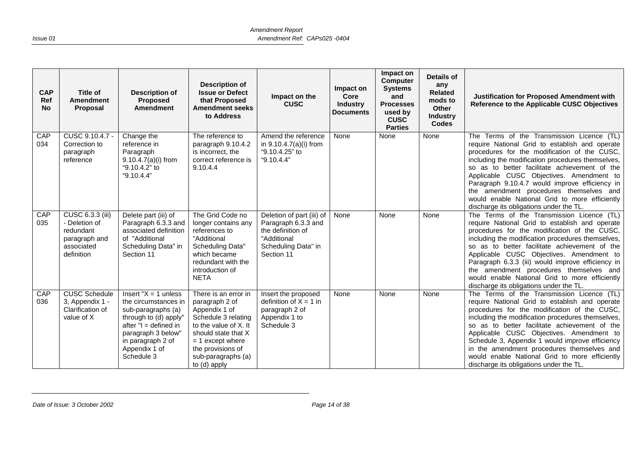| <b>CAP</b><br>Ref<br><b>No</b> | Title of<br><b>Amendment</b><br>Proposal                                                    | <b>Description of</b><br>Proposed<br><b>Amendment</b>                                                                                                                                               | Description of<br><b>Issue or Defect</b><br>that Proposed<br><b>Amendment seeks</b><br>to Address                                                                                                               | Impact on the<br><b>CUSC</b>                                                                                              | Impact on<br>Core<br><b>Industry</b><br><b>Documents</b> | Impact on<br>Computer<br><b>Systems</b><br>and<br><b>Processes</b><br>used by<br><b>CUSC</b><br><b>Parties</b> | <b>Details of</b><br>any<br><b>Related</b><br>mods to<br>Other<br><b>Industry</b><br><b>Codes</b> | Justification for Proposed Amendment with<br>Reference to the Applicable CUSC Objectives                                                                                                                                                                                                                                                                                                                                                                                                     |
|--------------------------------|---------------------------------------------------------------------------------------------|-----------------------------------------------------------------------------------------------------------------------------------------------------------------------------------------------------|-----------------------------------------------------------------------------------------------------------------------------------------------------------------------------------------------------------------|---------------------------------------------------------------------------------------------------------------------------|----------------------------------------------------------|----------------------------------------------------------------------------------------------------------------|---------------------------------------------------------------------------------------------------|----------------------------------------------------------------------------------------------------------------------------------------------------------------------------------------------------------------------------------------------------------------------------------------------------------------------------------------------------------------------------------------------------------------------------------------------------------------------------------------------|
| CAP<br>034                     | CUSC 9.10.4.7 -<br>Correction to<br>paragraph<br>reference                                  | Change the<br>reference in<br>Paragraph<br>$9.10.4.7(a)(i)$ from<br>"9.10.4.2" to<br>"9.10.4.4"                                                                                                     | The reference to<br>paragraph 9.10.4.2<br>is incorrect, the<br>correct reference is<br>9.10.4.4                                                                                                                 | Amend the reference<br>in 9.10.4.7(a)(i) from<br>"9.10.4.25" to<br>"9.10.4.4"                                             | None                                                     | None                                                                                                           | None                                                                                              | The Terms of the Transmission Licence (TL)<br>require National Grid to establish and operate<br>procedures for the modification of the CUSC,<br>including the modification procedures themselves,<br>so as to better facilitate achievement of the<br>Applicable CUSC Objectives. Amendment to<br>Paragraph 9.10.4.7 would improve efficiency in<br>the amendment procedures themselves and<br>would enable National Grid to more efficiently<br>discharge its obligations under the TL.     |
| CAP<br>035                     | CUSC 6.3.3 (iii)<br>- Deletion of<br>redundant<br>paragraph and<br>associated<br>definition | Delete part (iii) of<br>Paragraph 6.3.3 and<br>associated definition<br>of "Additional<br>Scheduling Data" in<br>Section 11                                                                         | The Grid Code no<br>longer contains any<br>references to<br>"Additional<br>Scheduling Data"<br>which became<br>redundant with the<br>introduction of<br><b>NETA</b>                                             | Deletion of part (iii) of<br>Paragraph 6.3.3 and<br>the definition of<br>"Additional<br>Scheduling Data" in<br>Section 11 | None                                                     | None                                                                                                           | None                                                                                              | The Terms of the Transmission Licence (TL)<br>require National Grid to establish and operate<br>procedures for the modification of the CUSC,<br>including the modification procedures themselves,<br>so as to better facilitate achievement of the<br>Applicable CUSC Objectives. Amendment to<br>Paragraph 6.3.3 (iii) would improve efficiency in<br>the amendment procedures themselves and<br>would enable National Grid to more efficiently<br>discharge its obligations under the TL.  |
| CAP<br>036                     | <b>CUSC Schedule</b><br>3, Appendix 1 -<br>Clarification of<br>value of X                   | Insert " $X = 1$ unless<br>the circumstances in<br>sub-paragraphs (a)<br>through to (d) apply"<br>after $"I = defined in$<br>paragraph 3 below"<br>in paragraph 2 of<br>Appendix 1 of<br>Schedule 3 | There is an error in<br>paragraph 2 of<br>Appendix 1 of<br>Schedule 3 relating<br>to the value of X. It<br>should state that X<br>$= 1$ except where<br>the provisions of<br>sub-paragraphs (a)<br>to (d) apply | Insert the proposed<br>definition of $X = 1$ in<br>paragraph 2 of<br>Appendix 1 to<br>Schedule 3                          | None                                                     | None                                                                                                           | None                                                                                              | The Terms of the Transmission Licence (TL)<br>require National Grid to establish and operate<br>procedures for the modification of the CUSC,<br>including the modification procedures themselves,<br>so as to better facilitate achievement of the<br>Applicable CUSC Objectives. Amendment to<br>Schedule 3, Appendix 1 would improve efficiency<br>in the amendment procedures themselves and<br>would enable National Grid to more efficiently<br>discharge its obligations under the TL. |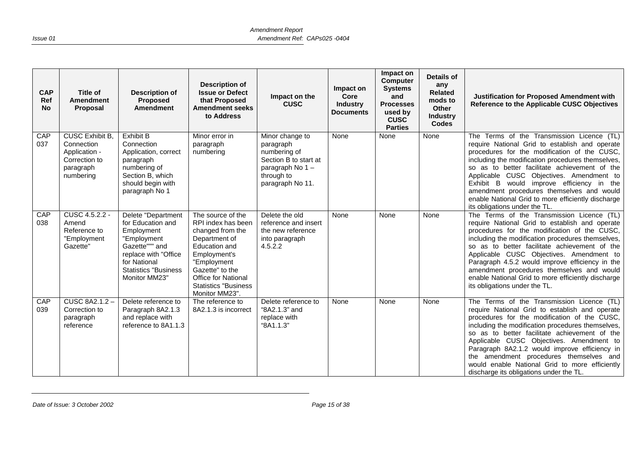| <b>CAP</b><br>Ref<br><b>No</b> | Title of<br><b>Amendment</b><br><b>Proposal</b>                                                 | <b>Description of</b><br>Proposed<br><b>Amendment</b>                                                                                                                           | <b>Description of</b><br><b>Issue or Defect</b><br>that Proposed<br><b>Amendment seeks</b><br>to Address                                                                                                                       | Impact on the<br><b>CUSC</b>                                                                                               | Impact on<br>Core<br><b>Industry</b><br><b>Documents</b> | Impact on<br><b>Computer</b><br><b>Systems</b><br>and<br><b>Processes</b><br>used by<br><b>CUSC</b><br><b>Parties</b> | Details of<br>any<br><b>Related</b><br>mods to<br><b>Other</b><br><b>Industry</b><br><b>Codes</b> | <b>Justification for Proposed Amendment with</b><br>Reference to the Applicable CUSC Objectives                                                                                                                                                                                                                                                                                                                                                                                         |
|--------------------------------|-------------------------------------------------------------------------------------------------|---------------------------------------------------------------------------------------------------------------------------------------------------------------------------------|--------------------------------------------------------------------------------------------------------------------------------------------------------------------------------------------------------------------------------|----------------------------------------------------------------------------------------------------------------------------|----------------------------------------------------------|-----------------------------------------------------------------------------------------------------------------------|---------------------------------------------------------------------------------------------------|-----------------------------------------------------------------------------------------------------------------------------------------------------------------------------------------------------------------------------------------------------------------------------------------------------------------------------------------------------------------------------------------------------------------------------------------------------------------------------------------|
| CAP<br>037                     | <b>CUSC Exhibit B</b><br>Connection<br>Application -<br>Correction to<br>paragraph<br>numbering | <b>Exhibit B</b><br>Connection<br>Application, correct<br>paragraph<br>numbering of<br>Section B, which<br>should begin with<br>paragraph No 1                                  | Minor error in<br>paragraph<br>numbering                                                                                                                                                                                       | Minor change to<br>paragraph<br>numbering of<br>Section B to start at<br>paragraph No 1-<br>through to<br>paragraph No 11. | None                                                     | None                                                                                                                  | None                                                                                              | The Terms of the Transmission Licence (TL)<br>require National Grid to establish and operate<br>procedures for the modification of the CUSC,<br>including the modification procedures themselves,<br>so as to better facilitate achievement of the<br>Applicable CUSC Objectives. Amendment to<br>Exhibit B would improve efficiency in the<br>amendment procedures themselves and would<br>enable National Grid to more efficiently discharge<br>its obligations under the TL.         |
| CAP<br>038                     | CUSC 4.5.2.2 -<br>Amend<br>Reference to<br>"Employment<br>Gazette"                              | Delete "Department<br>for Education and<br>Employment<br>"Employment<br>Gazette""" and<br>replace with "Office<br>for National<br><b>Statistics "Business"</b><br>Monitor MM23" | The source of the<br>RPI index has been<br>changed from the<br>Department of<br>Education and<br>Employment's<br>"Employment<br>Gazette" to the<br><b>Office for National</b><br><b>Statistics "Business</b><br>Monitor MM23". | Delete the old<br>reference and insert<br>the new reference<br>into paragraph<br>4.5.2.2                                   | None                                                     | None                                                                                                                  | None                                                                                              | The Terms of the Transmission Licence (TL)<br>require National Grid to establish and operate<br>procedures for the modification of the CUSC,<br>including the modification procedures themselves,<br>so as to better facilitate achievement of the<br>Applicable CUSC Objectives. Amendment to<br>Paragraph 4.5.2 would improve efficiency in the<br>amendment procedures themselves and would<br>enable National Grid to more efficiently discharge<br>its obligations under the TL.   |
| CAP<br>039                     | <b>CUSC 8A2.1.2 -</b><br>Correction to<br>paragraph<br>reference                                | Delete reference to<br>Paragraph 8A2.1.3<br>and replace with<br>reference to 8A1.1.3                                                                                            | The reference to<br>8A2.1.3 is incorrect                                                                                                                                                                                       | Delete reference to<br>"8A2.1.3" and<br>replace with<br>"8A1.1.3"                                                          | None                                                     | None                                                                                                                  | None                                                                                              | The Terms of the Transmission Licence (TL)<br>require National Grid to establish and operate<br>procedures for the modification of the CUSC,<br>including the modification procedures themselves,<br>so as to better facilitate achievement of the<br>Applicable CUSC Objectives. Amendment to<br>Paragraph 8A2.1.2 would improve efficiency in<br>the amendment procedures themselves and<br>would enable National Grid to more efficiently<br>discharge its obligations under the TL. |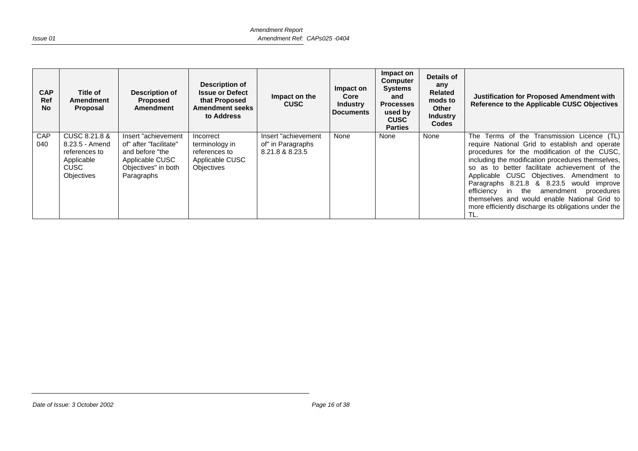| <b>CAP</b><br><b>Ref</b><br><b>No</b> | Title of<br><b>Amendment</b><br>Proposal                                                    | Description of<br>Proposed<br>Amendment                                                                                   | Description of<br><b>Issue or Defect</b><br>that Proposed<br><b>Amendment seeks</b><br>to Address | Impact on the<br><b>CUSC</b>                                | Impact on<br>Core<br><b>Industry</b><br><b>Documents</b> | Impact on<br><b>Computer</b><br><b>Systems</b><br>and<br><b>Processes</b><br>used by<br><b>CUSC</b><br><b>Parties</b> | Details of<br>any<br>Related<br>mods to<br><b>Other</b><br><b>Industry</b><br><b>Codes</b> | Justification for Proposed Amendment with<br>Reference to the Applicable CUSC Objectives                                                                                                                                                                                                                                                                                                                                                                                                                        |
|---------------------------------------|---------------------------------------------------------------------------------------------|---------------------------------------------------------------------------------------------------------------------------|---------------------------------------------------------------------------------------------------|-------------------------------------------------------------|----------------------------------------------------------|-----------------------------------------------------------------------------------------------------------------------|--------------------------------------------------------------------------------------------|-----------------------------------------------------------------------------------------------------------------------------------------------------------------------------------------------------------------------------------------------------------------------------------------------------------------------------------------------------------------------------------------------------------------------------------------------------------------------------------------------------------------|
| <b>CAP</b><br>040                     | CUSC 8.21.8 &<br>8.23.5 - Amend<br>references to<br>Applicable<br>CUSC<br><b>Objectives</b> | Insert "achievement"<br>of" after "facilitate"<br>and before "the<br>Applicable CUSC<br>Objectives" in both<br>Paragraphs | Incorrect<br>terminology in<br>references to<br>Applicable CUSC<br>Objectives                     | Insert "achievement<br>of" in Paragraphs<br>8.21.8 & 8.23.5 | None                                                     | None                                                                                                                  | None                                                                                       | Terms of the Transmission Licence (TL)<br>The<br>require National Grid to establish and operate<br>procedures for the modification of the CUSC,<br>including the modification procedures themselves,<br>so as to better facilitate achievement of the<br>Applicable CUSC Objectives. Amendment to<br>Paragraphs 8.21.8 & 8.23.5 would improve<br>efficiency<br>in the<br>amendment<br>procedures<br>themselves and would enable National Grid to<br>more efficiently discharge its obligations under the<br>TL. |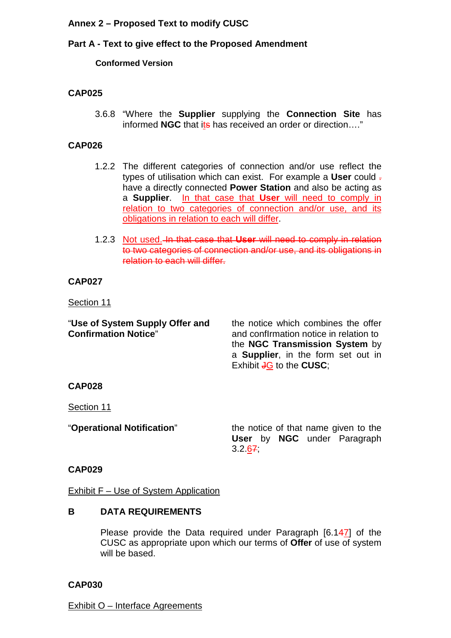#### <span id="page-16-0"></span>**Annex 2 – Proposed Text to modify CUSC**

#### **Part A - Text to give effect to the Proposed Amendment**

#### **Conformed Version**

#### **CAP025**

3.6.8 "Where the **Supplier** supplying the **Connection Site** has informed **NGC** that its has received an order or direction…."

#### **CAP026**

- 1.2.2 The different categories of connection and/or use reflect the types of utilisation which can exist. For example a **User** could . have a directly connected **Power Station** and also be acting as a **Supplier**. In that case that **User** will need to comply in relation to two categories of connection and/or use, and its obligations in relation to each will differ.
- 1.2.3 Not used. In that case that **User** will need to comply in relation to two categories of connection and/or use, and its obligations in relation to each will differ.

#### **CAP027**

Section 11

"**Use of System Supply Offer and** the notice which combines the offer

**Confirmation Notice**" and confirmation notice in relation to the **NGC Transmission System** by a **Supplier**, in the form set out in Exhibit **JG** to the **CUSC**;

#### **CAP028**

Section 11

"**Operational Notification**" the notice of that name given to the **User** by **NGC** under Paragraph 3.2.67;

#### **CAP029**

Exhibit F – Use of System Application

#### **B DATA REQUIREMENTS**

Please provide the Data required under Paragraph [6.147] of the CUSC as appropriate upon which our terms of **Offer** of use of system will be based.

#### **CAP030**

Exhibit O – Interface Agreements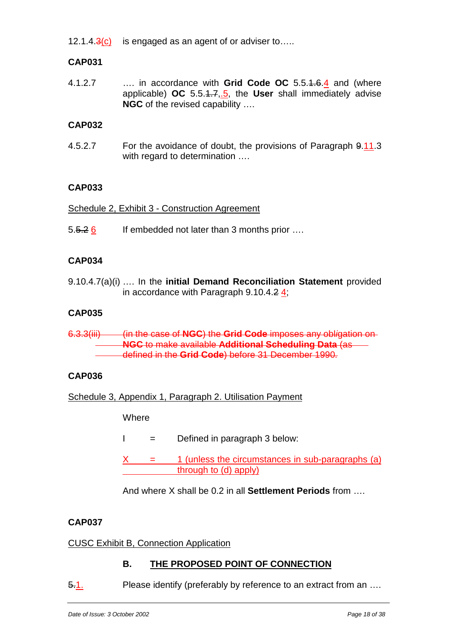12.1.4. $3(c)$  is engaged as an agent of or adviser to....

#### **CAP031**

4.1.2.7 …. in accordance with **Grid Code OC** 5.5.1.6.4 and (where applicable) **OC** 5.5.1.7,.5, the **User** shall immediately advise **NGC** of the revised capability ….

#### **CAP032**

4.5.2.7 For the avoidance of doubt, the provisions of Paragraph 9.11.3 with regard to determination ....

#### **CAP033**

Schedule 2, Exhibit 3 - Construction Agreement

5.5.2 6 If embedded not later than 3 months prior ....

#### **CAP034**

9.10.4.7(a)(i) …. In the **initial Demand Reconciliation Statement** provided in accordance with Paragraph  $9.10.4.2 \frac{4}{3}$ ;

#### **CAP035**

6.3.3(iii) (in the case of **NGC**) the **Grid Code** imposes any obl*i*gation on **NGC** to make available **Additional Scheduling Data** (asdefined in the **Grid Code**) before 31 December 1990*.*

#### **CAP036**

Schedule 3, Appendix 1, Paragraph 2. Utilisation Payment

**Where** 

- $I =$  Defined in paragraph 3 below:
- $X = 1$  (unless the circumstances in sub-paragraphs (a) through to (d) apply)

And where X shall be 0.2 in all **Settlement Periods** from ….

#### **CAP037**

#### CUSC Exhibit B, Connection Application

#### **B. THE PROPOSED POINT OF CONNECTION**

5.1. Please identify (preferably by reference to an extract from an ….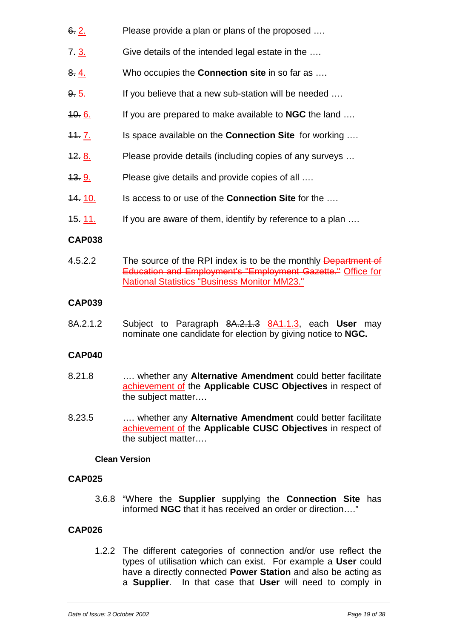- 6. 2. Please provide a plan or plans of the proposed ….
- 7.  $\frac{3}{10}$  Give details of the intended legal estate in the ....
- 8. 4. Who occupies the **Connection site** in so far as ….
- 9. 5. If you believe that a new sub-station will be needed ...
- 10. 6. If you are prepared to make available to **NGC** the land ….
- 11. 7. Is space available on the **Connection Site** for working ….
- 12. 8. Please provide details (including copies of any surveys ...
- 13. **9.** Please give details and provide copies of all ....
- 14. 10. Is access to or use of the **Connection Site** for the ….
- 15. 11. If you are aware of them, identify by reference to a plan ...

#### **CAP038**

4.5.2.2 The source of the RPI index is to be the monthly Department of Education and Employment's "Employment Gazette." Office for National Statistics "Business Monitor MM23."

#### **CAP039**

8A.2.1.2 Subject to Paragraph 8A.2.1.3 8A1.1.3, each **User** may nominate one candidate for election by giving notice to **NGC.**

#### **CAP040**

- 8.21.8 …. whether any **Alternative Amendment** could better facilitate achievement of the **Applicable CUSC Objectives** in respect of the subject matter….
- 8.23.5 …. whether any **Alternative Amendment** could better facilitate achievement of the **Applicable CUSC Objectives** in respect of the subject matter….

#### **Clean Version**

#### **CAP025**

3.6.8 "Where the **Supplier** supplying the **Connection Site** has informed **NGC** that it has received an order or direction…."

#### **CAP026**

1.2.2 The different categories of connection and/or use reflect the types of utilisation which can exist. For example a **User** could have a directly connected **Power Station** and also be acting as a **Supplier**. In that case that **User** will need to comply in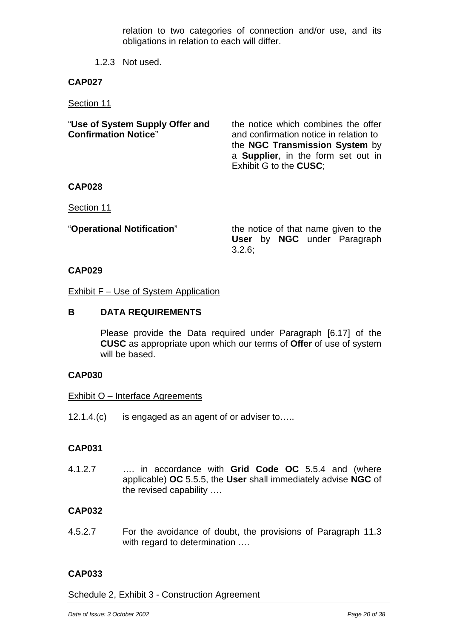relation to two categories of connection and/or use, and its obligations in relation to each will differ.

1.2.3 Not used.

#### **CAP027**

Section 11

| "Use of System Supply Offer and<br><b>Confirmation Notice"</b> | the notice which combines the offer<br>and confirmation notice in relation to<br>the NGC Transmission System by<br>a <b>Supplier</b> , in the form set out in<br>Exhibit G to the CUSC: |
|----------------------------------------------------------------|-----------------------------------------------------------------------------------------------------------------------------------------------------------------------------------------|
| <b>CAP028</b>                                                  |                                                                                                                                                                                         |

Section 11

"**Operational Notification**" the notice of that name given to the **User** by **NGC** under Paragraph 3.2.6;

#### **CAP029**

Exhibit F - Use of System Application

#### **B DATA REQUIREMENTS**

Please provide the Data required under Paragraph [6.17] of the **CUSC** as appropriate upon which our terms of **Offer** of use of system will be based.

#### **CAP030**

#### Exhibit O – Interface Agreements

12.1.4.(c) is engaged as an agent of or adviser to…..

#### **CAP031**

4.1.2.7 …. in accordance with **Grid Code OC** 5.5.4 and (where applicable) **OC** 5.5.5, the **User** shall immediately advise **NGC** of the revised capability ….

#### **CAP032**

4.5.2.7 For the avoidance of doubt, the provisions of Paragraph 11.3 with regard to determination ....

#### **CAP033**

Schedule 2, Exhibit 3 - Construction Agreement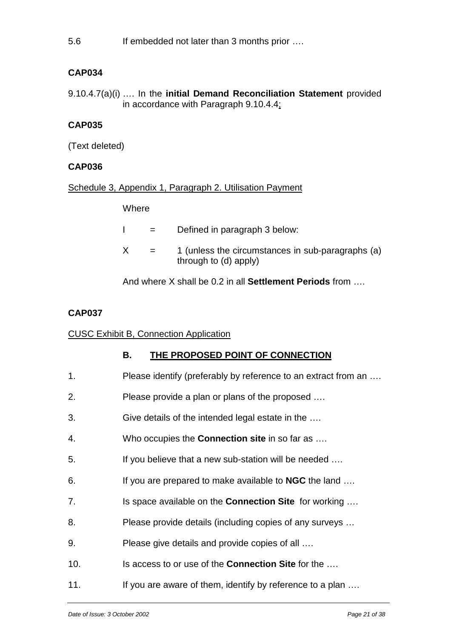5.6 If embedded not later than 3 months prior ….

#### **CAP034**

9.10.4.7(a)(i) …. In the **initial Demand Reconciliation Statement** provided in accordance with Paragraph 9.10.4.4;

#### **CAP035**

(Text deleted)

#### **CAP036**

Schedule 3, Appendix 1, Paragraph 2. Utilisation Payment

**Where** 

|   | $=$ | Defined in paragraph 3 below:                                              |
|---|-----|----------------------------------------------------------------------------|
| X | $=$ | 1 (unless the circumstances in sub-paragraphs (a)<br>through to (d) apply) |

And where X shall be 0.2 in all **Settlement Periods** from ….

#### **CAP037**

#### CUSC Exhibit B, Connection Application

#### **B. THE PROPOSED POINT OF CONNECTION**

| Please identify (preferably by reference to an extract from an |
|----------------------------------------------------------------|
|----------------------------------------------------------------|

- 2. Please provide a plan or plans of the proposed ….
- 3. Give details of the intended legal estate in the ….
- 4. Who occupies the **Connection site** in so far as ….
- 5. If you believe that a new sub-station will be needed ….
- 6. If you are prepared to make available to **NGC** the land ….
- 7. Is space available on the **Connection Site** for working ….
- 8. Please provide details (including copies of any surveys …

9. Please give details and provide copies of all ….

- 10. Is access to or use of the **Connection Site** for the ….
- 11. If you are aware of them, identify by reference to a plan ....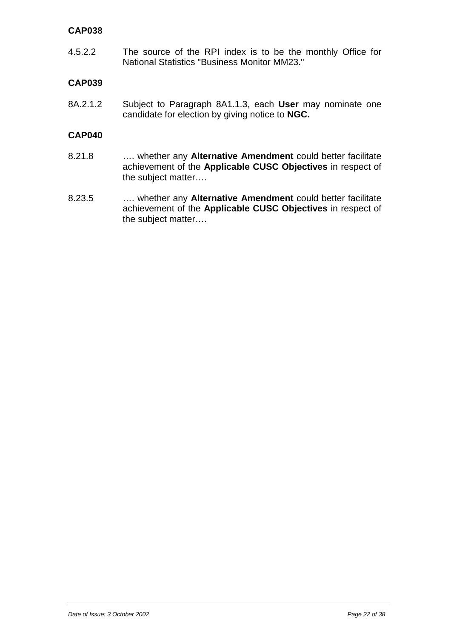#### **CAP038**

4.5.2.2 The source of the RPI index is to be the monthly Office for National Statistics "Business Monitor MM23."

#### **CAP039**

8A.2.1.2 Subject to Paragraph 8A1.1.3, each **User** may nominate one candidate for election by giving notice to **NGC.**

#### **CAP040**

- 8.21.8 …. whether any **Alternative Amendment** could better facilitate achievement of the **Applicable CUSC Objectives** in respect of the subject matter….
- 8.23.5 …. whether any **Alternative Amendment** could better facilitate achievement of the **Applicable CUSC Objectives** in respect of the subject matter….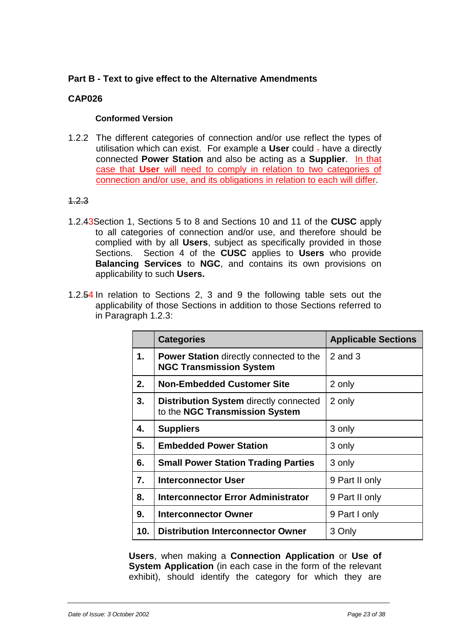#### <span id="page-22-0"></span>**Part B - Text to give effect to the Alternative Amendments**

#### **CAP026**

#### **Conformed Version**

1.2.2 The different categories of connection and/or use reflect the types of utilisation which can exist. For example a **User** could . have a directly connected **Power Station** and also be acting as a **Supplier**. In that case that **User** will need to comply in relation to two categories of connection and/or use, and its obligations in relation to each will differ.

#### 1.2.3

- 1.2.43Section 1, Sections 5 to 8 and Sections 10 and 11 of the **CUSC** apply to all categories of connection and/or use, and therefore should be complied with by all **Users**, subject as specifically provided in those Sections. Section 4 of the **CUSC** applies to **Users** who provide **Balancing Services** to **NGC**, and contains its own provisions on applicability to such **Users.**
- 1.2.54 In relation to Sections 2, 3 and 9 the following table sets out the applicability of those Sections in addition to those Sections referred to in Paragraph 1.2.3:

|     | <b>Categories</b>                                                                | <b>Applicable Sections</b> |
|-----|----------------------------------------------------------------------------------|----------------------------|
| 1.  | <b>Power Station</b> directly connected to the<br><b>NGC Transmission System</b> | $2$ and $3$                |
| 2.  | <b>Non-Embedded Customer Site</b>                                                | 2 only                     |
| 3.  | <b>Distribution System directly connected</b><br>to the NGC Transmission System  | 2 only                     |
| 4.  | <b>Suppliers</b>                                                                 | 3 only                     |
| 5.  | <b>Embedded Power Station</b>                                                    | 3 only                     |
| 6.  | <b>Small Power Station Trading Parties</b>                                       | 3 only                     |
| 7.  | Interconnector User                                                              | 9 Part II only             |
| 8.  | <b>Interconnector Error Administrator</b>                                        | 9 Part II only             |
| 9.  | Interconnector Owner                                                             | 9 Part I only              |
| 10. | <b>Distribution Interconnector Owner</b>                                         | 3 Only                     |

**Users**, when making a **Connection Application** or **Use of System Application** (in each case in the form of the relevant exhibit), should identify the category for which they are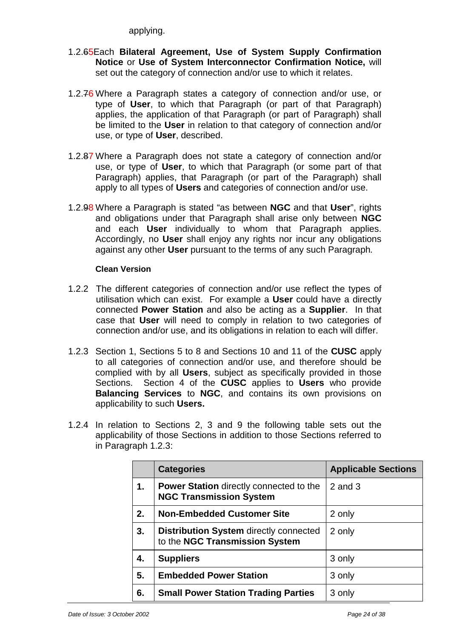applying.

- 1.2.65Each **Bilateral Agreement, Use of System Supply Confirmation Notice** or **Use of System Interconnector Confirmation Notice,** will set out the category of connection and/or use to which it relates.
- 1.2.76 Where a Paragraph states a category of connection and/or use, or type of **User**, to which that Paragraph (or part of that Paragraph) applies, the application of that Paragraph (or part of Paragraph) shall be limited to the **User** in relation to that category of connection and/or use, or type of **User**, described.
- 1.2.87 Where a Paragraph does not state a category of connection and/or use, or type of **User**, to which that Paragraph (or some part of that Paragraph) applies, that Paragraph (or part of the Paragraph) shall apply to all types of **Users** and categories of connection and/or use.
- 1.2.98 Where a Paragraph is stated "as between **NGC** and that **User**", rights and obligations under that Paragraph shall arise only between **NGC** and each **User** individually to whom that Paragraph applies. Accordingly, no **User** shall enjoy any rights nor incur any obligations against any other **User** pursuant to the terms of any such Paragraph*.*

#### **Clean Version**

- 1.2.2 The different categories of connection and/or use reflect the types of utilisation which can exist. For example a **User** could have a directly connected **Power Station** and also be acting as a **Supplier**. In that case that **User** will need to comply in relation to two categories of connection and/or use, and its obligations in relation to each will differ.
- 1.2.3 Section 1, Sections 5 to 8 and Sections 10 and 11 of the **CUSC** apply to all categories of connection and/or use, and therefore should be complied with by all **Users**, subject as specifically provided in those Sections. Section 4 of the **CUSC** applies to **Users** who provide **Balancing Services** to **NGC**, and contains its own provisions on applicability to such **Users.**
- 1.2.4 In relation to Sections 2, 3 and 9 the following table sets out the applicability of those Sections in addition to those Sections referred to in Paragraph 1.2.3:

|    | <b>Categories</b>                                                                | <b>Applicable Sections</b> |
|----|----------------------------------------------------------------------------------|----------------------------|
| 1. | <b>Power Station</b> directly connected to the<br><b>NGC Transmission System</b> | $2$ and $3$                |
| 2. | <b>Non-Embedded Customer Site</b>                                                | 2 only                     |
| 3. | <b>Distribution System directly connected</b><br>to the NGC Transmission System  | 2 only                     |
| 4. | <b>Suppliers</b>                                                                 | 3 only                     |
| 5. | <b>Embedded Power Station</b>                                                    | 3 only                     |
| 6. | <b>Small Power Station Trading Parties</b>                                       | 3 only                     |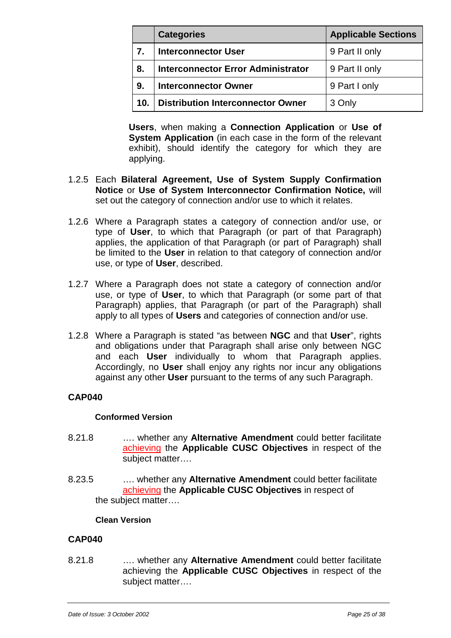|     | <b>Categories</b>                         | <b>Applicable Sections</b> |
|-----|-------------------------------------------|----------------------------|
| 7.  | <b>Interconnector User</b>                | 9 Part II only             |
| 8.  | <b>Interconnector Error Administrator</b> | 9 Part II only             |
| 9.  | <b>Interconnector Owner</b>               | 9 Part I only              |
| 10. | <b>Distribution Interconnector Owner</b>  | 3 Only                     |

**Users**, when making a **Connection Application** or **Use of System Application** (in each case in the form of the relevant exhibit), should identify the category for which they are applying.

- 1.2.5 Each **Bilateral Agreement, Use of System Supply Confirmation Notice** or **Use of System Interconnector Confirmation Notice,** will set out the category of connection and/or use to which it relates.
- 1.2.6 Where a Paragraph states a category of connection and/or use, or type of **User**, to which that Paragraph (or part of that Paragraph) applies, the application of that Paragraph (or part of Paragraph) shall be limited to the **User** in relation to that category of connection and/or use, or type of **User**, described.
- 1.2.7 Where a Paragraph does not state a category of connection and/or use, or type of **User**, to which that Paragraph (or some part of that Paragraph) applies, that Paragraph (or part of the Paragraph) shall apply to all types of **Users** and categories of connection and/or use.
- 1.2.8 Where a Paragraph is stated "as between **NGC** and that **User**", rights and obligations under that Paragraph shall arise only between NGC and each **User** individually to whom that Paragraph applies. Accordingly, no **User** shall enjoy any rights nor incur any obligations against any other **User** pursuant to the terms of any such Paragraph.

#### **CAP040**

#### **Conformed Version**

- 8.21.8 …. whether any **Alternative Amendment** could better facilitate achieving the **Applicable CUSC Objectives** in respect of the subject matter….
- 8.23.5 …. whether any **Alternative Amendment** could better facilitate achieving the **Applicable CUSC Objectives** in respect of the subject matter….

#### **Clean Version**

#### **CAP040**

8.21.8 …. whether any **Alternative Amendment** could better facilitate achieving the **Applicable CUSC Objectives** in respect of the subject matter….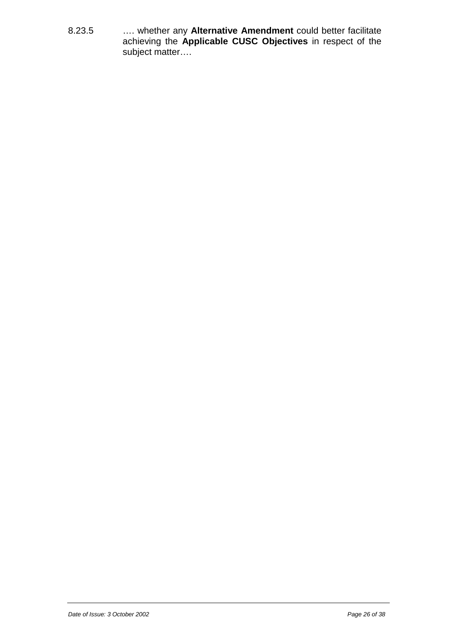8.23.5 …. whether any **Alternative Amendment** could better facilitate achieving the **Applicable CUSC Objectives** in respect of the subject matter….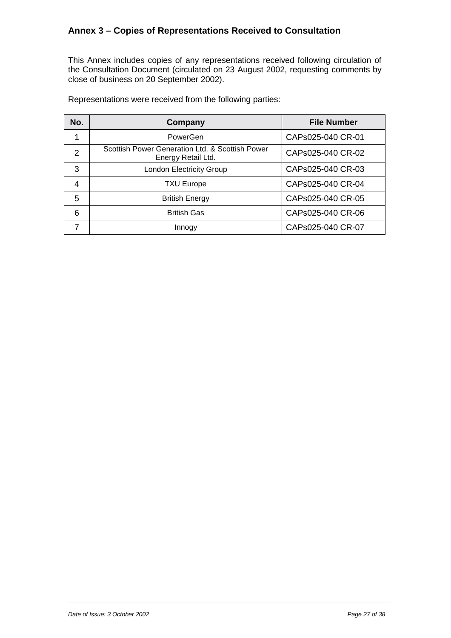#### <span id="page-26-0"></span>**Annex 3 – Copies of Representations Received to Consultation**

This Annex includes copies of any representations received following circulation of the Consultation Document (circulated on 23 August 2002, requesting comments by close of business on 20 September 2002).

| No.            | Company                                                               | <b>File Number</b> |
|----------------|-----------------------------------------------------------------------|--------------------|
|                | PowerGen                                                              | CAPs025-040 CR-01  |
| $\overline{2}$ | Scottish Power Generation Ltd. & Scottish Power<br>Energy Retail Ltd. | CAPs025-040 CR-02  |
| 3              | <b>London Electricity Group</b>                                       | CAPs025-040 CR-03  |
| 4              | <b>TXU Europe</b>                                                     | CAPs025-040 CR-04  |
| 5              | <b>British Energy</b>                                                 | CAPs025-040 CR-05  |
| 6              | <b>British Gas</b>                                                    | CAPs025-040 CR-06  |
|                | Innogy                                                                | CAPs025-040 CR-07  |

Representations were received from the following parties: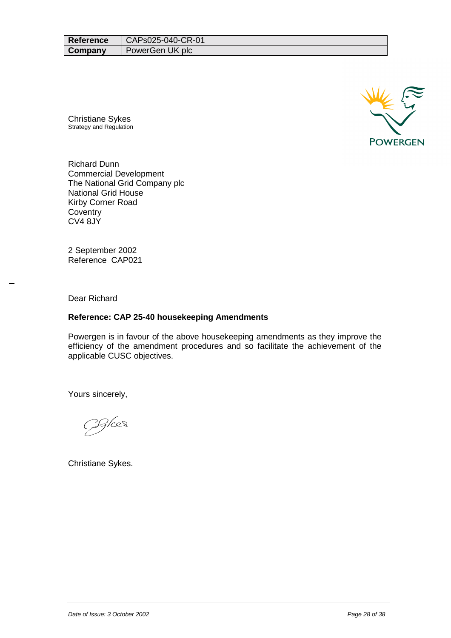| <b>Reference</b> | CAPs025-040-CR-01 |
|------------------|-------------------|
| Company          | PowerGen UK plc   |

Christiane Sykes Strategy and Regulation



Richard Dunn Commercial Development The National Grid Company plc National Grid House Kirby Corner Road **Coventry** CV4 8JY

2 September 2002 Reference CAP021

Dear Richard

#### **Reference: CAP 25-40 housekeeping Amendments**

Powergen is in favour of the above housekeeping amendments as they improve the efficiency of the amendment procedures and so facilitate the achievement of the applicable CUSC objectives.

Yours sincerely,

<u> IG/ces</u>

Christiane Sykes.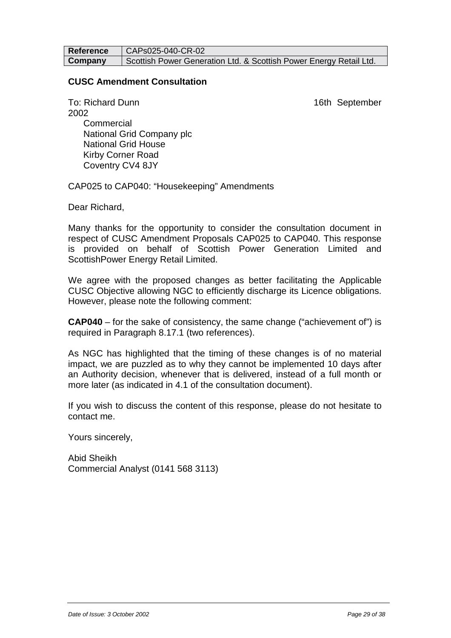**Reference | CAPs025-040-CR-02 Company** Scottish Power Generation Ltd. & Scottish Power Energy Retail Ltd.

#### **CUSC Amendment Consultation**

To: Richard Dunn 16th September 2002 **Commercial**  National Grid Company plc National Grid House Kirby Corner Road Coventry CV4 8JY

CAP025 to CAP040: "Housekeeping" Amendments

Dear Richard,

Many thanks for the opportunity to consider the consultation document in respect of CUSC Amendment Proposals CAP025 to CAP040. This response is provided on behalf of Scottish Power Generation Limited and ScottishPower Energy Retail Limited.

We agree with the proposed changes as better facilitating the Applicable CUSC Objective allowing NGC to efficiently discharge its Licence obligations. However, please note the following comment:

**CAP040** – for the sake of consistency, the same change ("achievement of") is required in Paragraph 8.17.1 (two references).

As NGC has highlighted that the timing of these changes is of no material impact, we are puzzled as to why they cannot be implemented 10 days after an Authority decision, whenever that is delivered, instead of a full month or more later (as indicated in 4.1 of the consultation document).

If you wish to discuss the content of this response, please do not hesitate to contact me.

Yours sincerely,

Abid Sheikh Commercial Analyst (0141 568 3113)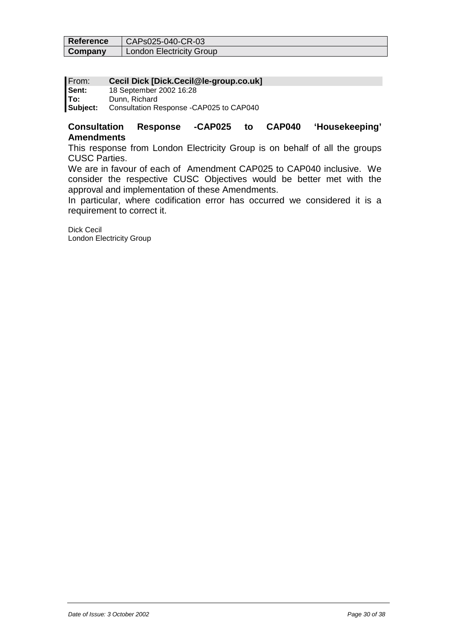| Reference | CAPs025-040-CR-03               |
|-----------|---------------------------------|
| Company   | <b>London Electricity Group</b> |

#### From: **Cecil Dick [Dick.Cecil@le-group.co.uk]**

| Sent:    | 18 September 2002 16:28                 |
|----------|-----------------------------------------|
| lTo:     | Dunn, Richard                           |
| Subject: | Consultation Response -CAP025 to CAP040 |

#### **Consultation Response -CAP025 to CAP040 'Housekeeping' Amendments**

This response from London Electricity Group is on behalf of all the groups CUSC Parties.

We are in favour of each of Amendment CAP025 to CAP040 inclusive. We consider the respective CUSC Objectives would be better met with the approval and implementation of these Amendments.

In particular, where codification error has occurred we considered it is a requirement to correct it.

Dick Cecil London Electricity Group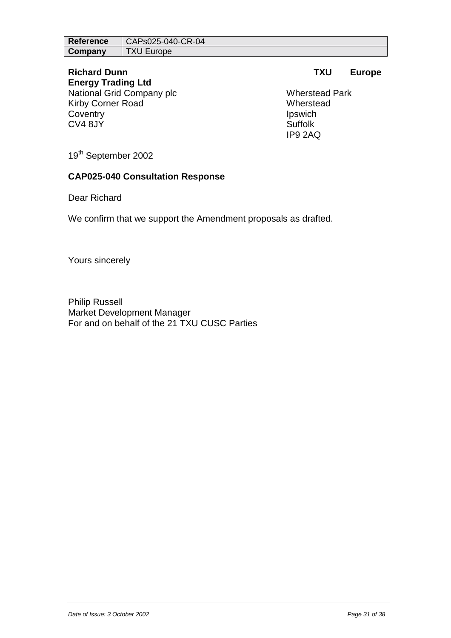| <b>Reference</b> | CAPs025-040-CR-04 |
|------------------|-------------------|
| Company          | <b>TXU Europe</b> |

# **Energy Trading Ltd**

National Grid Company plc Wherstead Park Kirby Corner Road Wherstead Coventry **Ipswich** CV4 8JY Suffolk

#### **Richard Dunn TXU Europe**

IP9 2AQ

19<sup>th</sup> September 2002

#### **CAP025-040 Consultation Response**

Dear Richard

We confirm that we support the Amendment proposals as drafted.

Yours sincerely

Philip Russell Market Development Manager For and on behalf of the 21 TXU CUSC Parties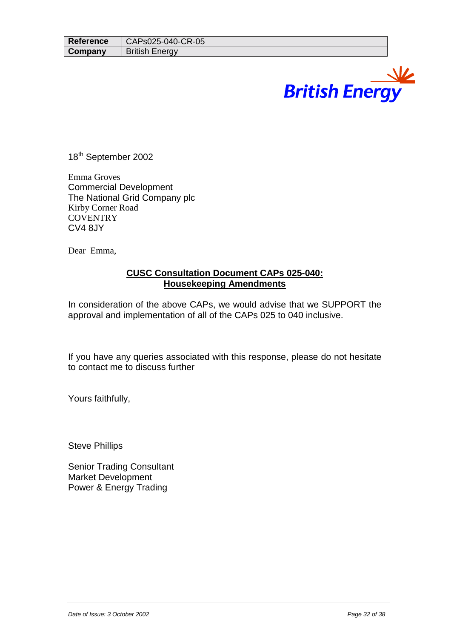# **British Energy**

18<sup>th</sup> September 2002

Emma Groves Commercial Development The National Grid Company plc Kirby Corner Road **COVENTRY** CV4 8JY

Dear Emma,

#### **CUSC Consultation Document CAPs 025-040: Housekeeping Amendments**

In consideration of the above CAPs, we would advise that we SUPPORT the approval and implementation of all of the CAPs 025 to 040 inclusive.

If you have any queries associated with this response, please do not hesitate to contact me to discuss further

Yours faithfully,

Steve Phillips

Senior Trading Consultant Market Development Power & Energy Trading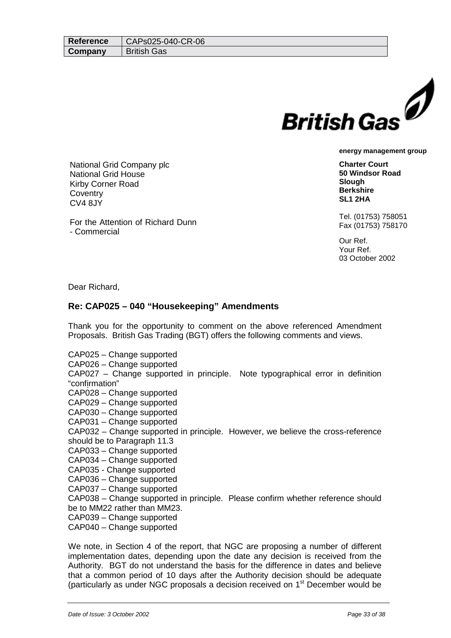

**Charter Court 50 Windsor Road Slough Berkshire SL1 2HA**

Tel. (01753) 758051 Fax (01753) 758170

Our Ref. Your Ref. 03 October 2002

- Commercial

Dear Richard,

#### **Re: CAP025 – 040 "Housekeeping" Amendments**

Thank you for the opportunity to comment on the above referenced Amendment Proposals. British Gas Trading (BGT) offers the following comments and views.

CAP025 – Change supported

National Grid Company plc

For the Attention of Richard Dunn

National Grid House Kirby Corner Road

**Coventry** CV4 8JY

CAP026 – Change supported

CAP027 – Change supported in principle. Note typographical error in definition "confirmation"

CAP028 – Change supported

CAP029 – Change supported

CAP030 – Change supported

CAP031 – Change supported

CAP032 – Change supported in principle. However, we believe the cross-reference should be to Paragraph 11.3

CAP033 – Change supported

CAP034 – Change supported

CAP035 - Change supported

CAP036 – Change supported

CAP037 – Change supported

CAP038 – Change supported in principle. Please confirm whether reference should be to MM22 rather than MM23.

CAP039 – Change supported

CAP040 – Change supported

We note, in Section 4 of the report, that NGC are proposing a number of different implementation dates, depending upon the date any decision is received from the Authority. BGT do not understand the basis for the difference in dates and believe that a common period of 10 days after the Authority decision should be adequate (particularly as under NGC proposals a decision received on 1st December would be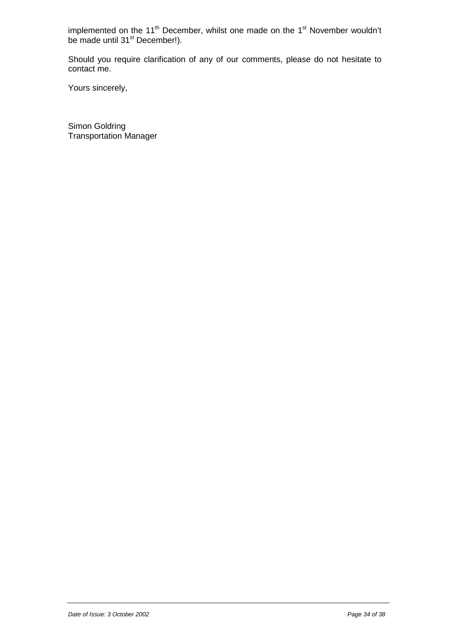implemented on the 11<sup>th</sup> December, whilst one made on the 1<sup>st</sup> November wouldn't be made until 31<sup>st</sup> December!).

Should you require clarification of any of our comments, please do not hesitate to contact me.

Yours sincerely,

Simon Goldring Transportation Manager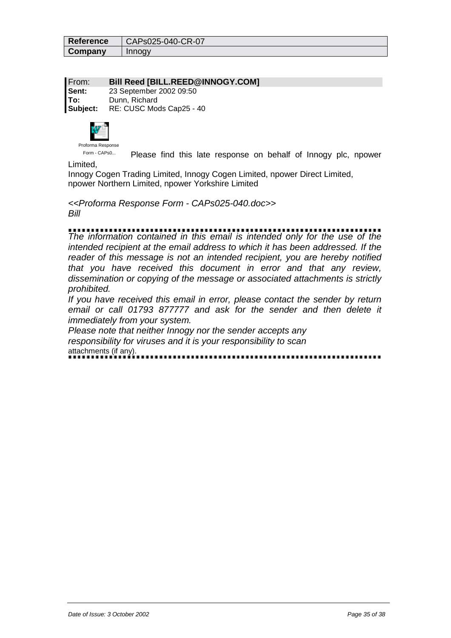| Reference | CAPs025-040-CR-07 |
|-----------|-------------------|
| Company   | Innogy            |

From: **Bill Reed [BILL.REED@INNOGY.COM] Sent:** 23 September 2002 09:50 **To:** Dunn, Richard **Subject:** RE: CUSC Mods Cap25 - 40



Form - CAPs0... Please find this late response on behalf of Innogy plc, npower

Limited,

Innogy Cogen Trading Limited, Innogy Cogen Limited, npower Direct Limited, npower Northern Limited, npower Yorkshire Limited

*<<Proforma Response Form - CAPs025-040.doc>> Bill*

*The information contained in this email is intended only for the use of the intended recipient at the email address to which it has been addressed. If the reader of this message is not an intended recipient, you are hereby notified that you have received this document in error and that any review, dissemination or copying of the message or associated attachments is strictly prohibited.*

*If you have received this email in error, please contact the sender by return email or call 01793 877777 and ask for the sender and then delete it immediately from your system.*

*Please note that neither Innogy nor the sender accepts any responsibility for viruses and it is your responsibility to scan* attachments (if any).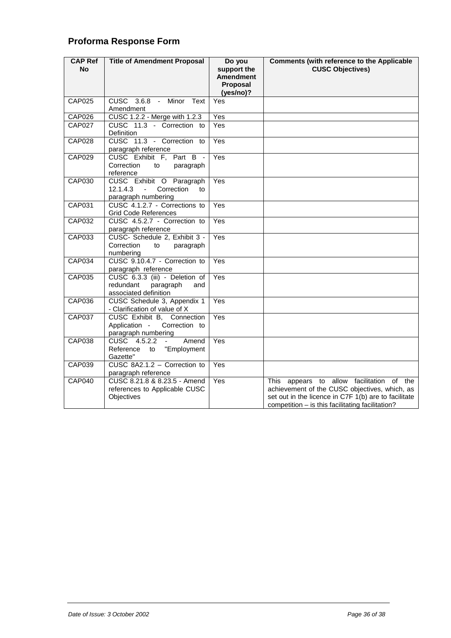## **Proforma Response Form**

| <b>CAP Ref</b><br><b>No</b> | <b>Title of Amendment Proposal</b>                                                              | Do you<br>support the              | <b>Comments (with reference to the Applicable</b><br><b>CUSC Objectives)</b>                                                                                                                           |
|-----------------------------|-------------------------------------------------------------------------------------------------|------------------------------------|--------------------------------------------------------------------------------------------------------------------------------------------------------------------------------------------------------|
|                             |                                                                                                 | Amendment<br>Proposal<br>(yes/no)? |                                                                                                                                                                                                        |
| <b>CAP025</b>               | CUSC 3.6.8 - Minor Text<br>Amendment                                                            | Yes                                |                                                                                                                                                                                                        |
| <b>CAP026</b>               | CUSC 1.2.2 - Merge with 1.2.3                                                                   | Yes                                |                                                                                                                                                                                                        |
| <b>CAP027</b>               | CUSC 11.3 - Correction to<br>Definition                                                         | Yes                                |                                                                                                                                                                                                        |
| <b>CAP028</b>               | CUSC 11.3 - Correction to<br>paragraph reference                                                | Yes                                |                                                                                                                                                                                                        |
| CAP029                      | CUSC Exhibit F, Part B -<br>Correction<br>to<br>paragraph<br>reference                          | Yes                                |                                                                                                                                                                                                        |
| <b>CAP030</b>               | CUSC Exhibit O Paragraph<br>12.1.4.3<br>Correction<br>$\mathbf{r}$<br>to<br>paragraph numbering | Yes                                |                                                                                                                                                                                                        |
| <b>CAP031</b>               | CUSC 4.1.2.7 - Corrections to<br><b>Grid Code References</b>                                    | Yes                                |                                                                                                                                                                                                        |
| CAP032                      | CUSC 4.5.2.7 - Correction to<br>paragraph reference                                             | Yes                                |                                                                                                                                                                                                        |
| <b>CAP033</b>               | CUSC- Schedule 2, Exhibit 3 -<br>Correction<br>to<br>paragraph<br>numbering                     | Yes                                |                                                                                                                                                                                                        |
| <b>CAP034</b>               | CUSC 9.10.4.7 - Correction to<br>paragraph reference                                            | Yes                                |                                                                                                                                                                                                        |
| <b>CAP035</b>               | CUSC 6.3.3 (iii) - Deletion of<br>redundant<br>paragraph<br>and<br>associated definition        | Yes                                |                                                                                                                                                                                                        |
| CAP036                      | CUSC Schedule 3, Appendix 1<br>- Clarification of value of X                                    | Yes                                |                                                                                                                                                                                                        |
| <b>CAP037</b>               | CUSC Exhibit B, Connection<br>Application -<br>Correction to<br>paragraph numbering             | Yes                                |                                                                                                                                                                                                        |
| <b>CAP038</b>               | CUSC 4.5.2.2<br>Amend<br>$\blacksquare$<br>Reference<br>to<br>"Employment<br>Gazette"           | Yes                                |                                                                                                                                                                                                        |
| <b>CAP039</b>               | CUSC 8A2.1.2 - Correction to<br>paragraph reference                                             | Yes                                |                                                                                                                                                                                                        |
| <b>CAP040</b>               | CUSC 8.21.8 & 8.23.5 - Amend<br>references to Applicable CUSC<br>Objectives                     | Yes                                | This appears to allow facilitation of the<br>achievement of the CUSC objectives, which, as<br>set out in the licence in C7F 1(b) are to facilitate<br>competition - is this facilitating facilitation? |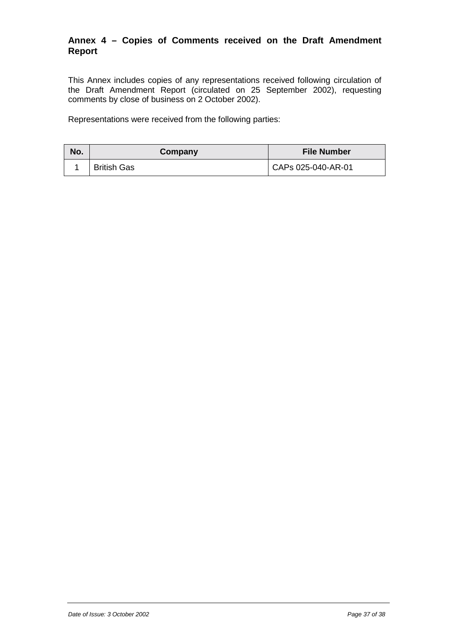#### **Annex 4 – Copies of Comments received on the Draft Amendment Report**

This Annex includes copies of any representations received following circulation of the Draft Amendment Report (circulated on 25 September 2002), requesting comments by close of business on 2 October 2002).

Representations were received from the following parties:

| No. | Company            | <b>File Number</b> |
|-----|--------------------|--------------------|
|     | <b>British Gas</b> | CAPs 025-040-AR-01 |